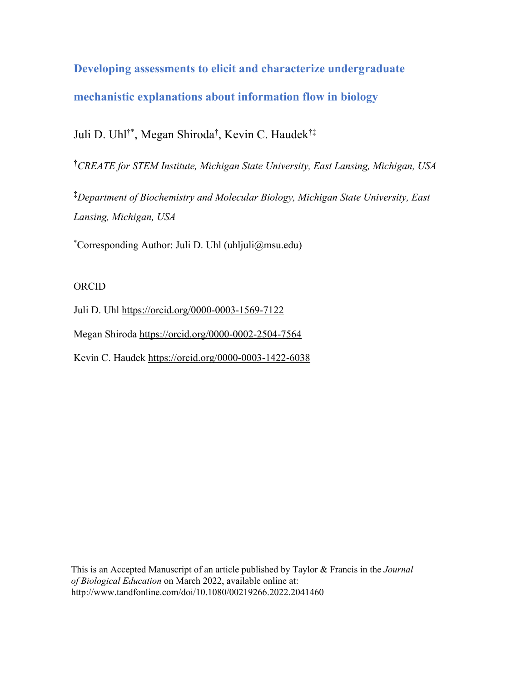**Developing assessments to elicit and characterize undergraduate mechanistic explanations about information flow in biology**

Juli D. Uhl†\*, Megan Shiroda† , Kevin C. Haudek†‡

† *CREATE for STEM Institute, Michigan State University, East Lansing, Michigan, USA* 

‡ *Department of Biochemistry and Molecular Biology, Michigan State University, East Lansing, Michigan, USA* 

\* Corresponding Author: Juli D. Uhl (uhljuli@msu.edu)

# ORCID

Juli D. Uhl https://orcid.org/0000-0003-1569-7122

Megan Shiroda https://orcid.org/0000-0002-2504-7564

Kevin C. Haudek https://orcid.org/0000-0003-1422-6038

This is an Accepted Manuscript of an article published by Taylor & Francis in the *Journal of Biological Education* on March 2022, available online at: http://www.tandfonline.com/doi/10.1080/00219266.2022.2041460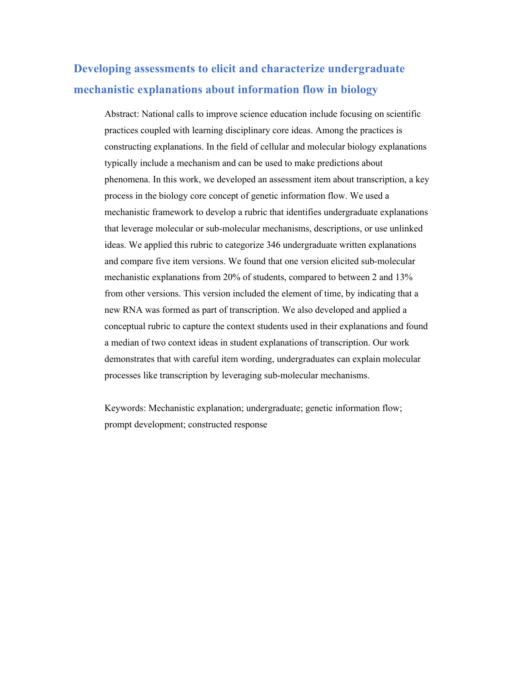# **Developing assessments to elicit and characterize undergraduate mechanistic explanations about information flow in biology**

Abstract: National calls to improve science education include focusing on scientific practices coupled with learning disciplinary core ideas. Among the practices is constructing explanations. In the field of cellular and molecular biology explanations typically include a mechanism and can be used to make predictions about phenomena. In this work, we developed an assessment item about transcription, a key process in the biology core concept of genetic information flow. We used a mechanistic framework to develop a rubric that identifies undergraduate explanations that leverage molecular or sub-molecular mechanisms, descriptions, or use unlinked ideas. We applied this rubric to categorize 346 undergraduate written explanations and compare five item versions. We found that one version elicited sub-molecular mechanistic explanations from 20% of students, compared to between 2 and 13% from other versions. This version included the element of time, by indicating that a new RNA was formed as part of transcription. We also developed and applied a conceptual rubric to capture the context students used in their explanations and found a median of two context ideas in student explanations of transcription. Our work demonstrates that with careful item wording, undergraduates can explain molecular processes like transcription by leveraging sub-molecular mechanisms.

Keywords: Mechanistic explanation; undergraduate; genetic information flow; prompt development; constructed response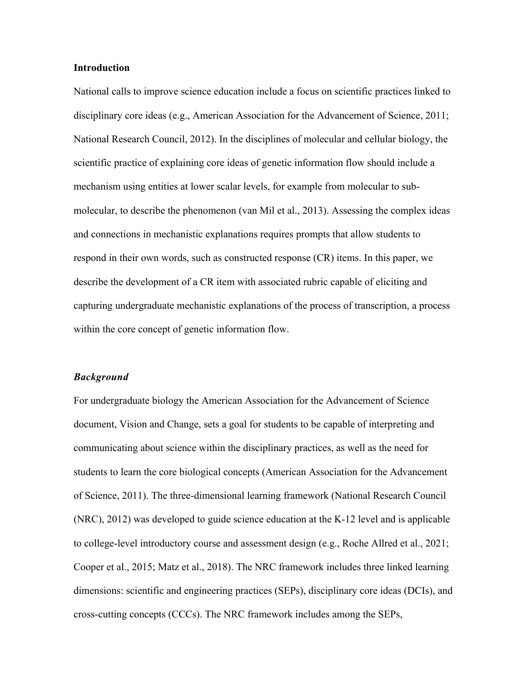#### **Introduction**

National calls to improve science education include a focus on scientific practices linked to disciplinary core ideas (e.g., American Association for the Advancement of Science, 2011; National Research Council, 2012). In the disciplines of molecular and cellular biology, the scientific practice of explaining core ideas of genetic information flow should include a mechanism using entities at lower scalar levels, for example from molecular to submolecular, to describe the phenomenon (van Mil et al., 2013). Assessing the complex ideas and connections in mechanistic explanations requires prompts that allow students to respond in their own words, such as constructed response (CR) items. In this paper, we describe the development of a CR item with associated rubric capable of eliciting and capturing undergraduate mechanistic explanations of the process of transcription, a process within the core concept of genetic information flow.

#### *Background*

For undergraduate biology the American Association for the Advancement of Science document, Vision and Change, sets a goal for students to be capable of interpreting and communicating about science within the disciplinary practices, as well as the need for students to learn the core biological concepts (American Association for the Advancement of Science, 2011). The three-dimensional learning framework (National Research Council (NRC), 2012) was developed to guide science education at the K-12 level and is applicable to college-level introductory course and assessment design (e.g., Roche Allred et al., 2021; Cooper et al., 2015; Matz et al., 2018). The NRC framework includes three linked learning dimensions: scientific and engineering practices (SEPs), disciplinary core ideas (DCIs), and cross-cutting concepts (CCCs). The NRC framework includes among the SEPs,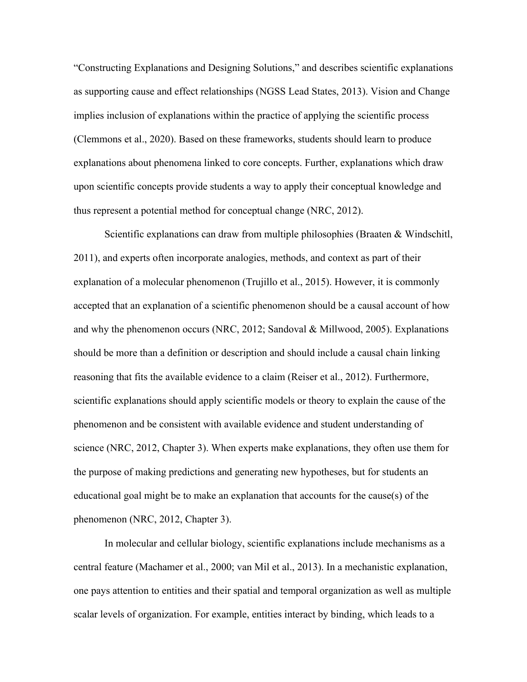"Constructing Explanations and Designing Solutions," and describes scientific explanations as supporting cause and effect relationships (NGSS Lead States, 2013). Vision and Change implies inclusion of explanations within the practice of applying the scientific process (Clemmons et al., 2020). Based on these frameworks, students should learn to produce explanations about phenomena linked to core concepts. Further, explanations which draw upon scientific concepts provide students a way to apply their conceptual knowledge and thus represent a potential method for conceptual change (NRC, 2012).

Scientific explanations can draw from multiple philosophies (Braaten & Windschitl, 2011), and experts often incorporate analogies, methods, and context as part of their explanation of a molecular phenomenon (Trujillo et al., 2015). However, it is commonly accepted that an explanation of a scientific phenomenon should be a causal account of how and why the phenomenon occurs (NRC, 2012; Sandoval & Millwood, 2005). Explanations should be more than a definition or description and should include a causal chain linking reasoning that fits the available evidence to a claim (Reiser et al., 2012). Furthermore, scientific explanations should apply scientific models or theory to explain the cause of the phenomenon and be consistent with available evidence and student understanding of science (NRC, 2012, Chapter 3). When experts make explanations, they often use them for the purpose of making predictions and generating new hypotheses, but for students an educational goal might be to make an explanation that accounts for the cause(s) of the phenomenon (NRC, 2012, Chapter 3).

In molecular and cellular biology, scientific explanations include mechanisms as a central feature (Machamer et al., 2000; van Mil et al., 2013). In a mechanistic explanation, one pays attention to entities and their spatial and temporal organization as well as multiple scalar levels of organization. For example, entities interact by binding, which leads to a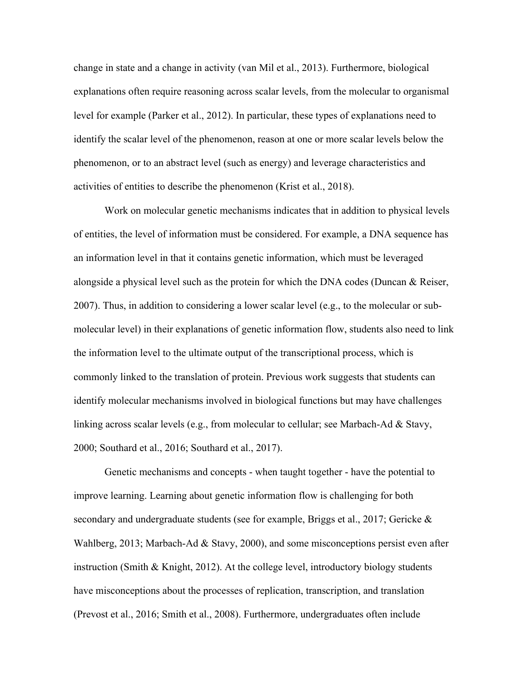change in state and a change in activity (van Mil et al., 2013). Furthermore, biological explanations often require reasoning across scalar levels, from the molecular to organismal level for example (Parker et al., 2012). In particular, these types of explanations need to identify the scalar level of the phenomenon, reason at one or more scalar levels below the phenomenon, or to an abstract level (such as energy) and leverage characteristics and activities of entities to describe the phenomenon (Krist et al., 2018).

Work on molecular genetic mechanisms indicates that in addition to physical levels of entities, the level of information must be considered. For example, a DNA sequence has an information level in that it contains genetic information, which must be leveraged alongside a physical level such as the protein for which the DNA codes (Duncan & Reiser, 2007). Thus, in addition to considering a lower scalar level (e.g., to the molecular or submolecular level) in their explanations of genetic information flow, students also need to link the information level to the ultimate output of the transcriptional process, which is commonly linked to the translation of protein. Previous work suggests that students can identify molecular mechanisms involved in biological functions but may have challenges linking across scalar levels (e.g., from molecular to cellular; see Marbach-Ad & Stavy, 2000; Southard et al., 2016; Southard et al., 2017).

Genetic mechanisms and concepts - when taught together - have the potential to improve learning. Learning about genetic information flow is challenging for both secondary and undergraduate students (see for example, Briggs et al., 2017; Gericke & Wahlberg, 2013; Marbach-Ad & Stavy, 2000), and some misconceptions persist even after instruction (Smith & Knight, 2012). At the college level, introductory biology students have misconceptions about the processes of replication, transcription, and translation (Prevost et al., 2016; Smith et al., 2008). Furthermore, undergraduates often include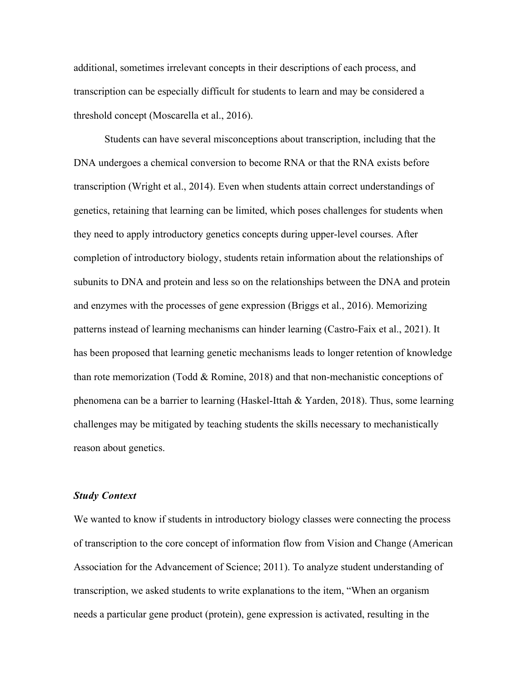additional, sometimes irrelevant concepts in their descriptions of each process, and transcription can be especially difficult for students to learn and may be considered a threshold concept (Moscarella et al., 2016).

Students can have several misconceptions about transcription, including that the DNA undergoes a chemical conversion to become RNA or that the RNA exists before transcription (Wright et al., 2014). Even when students attain correct understandings of genetics, retaining that learning can be limited, which poses challenges for students when they need to apply introductory genetics concepts during upper-level courses. After completion of introductory biology, students retain information about the relationships of subunits to DNA and protein and less so on the relationships between the DNA and protein and enzymes with the processes of gene expression (Briggs et al., 2016). Memorizing patterns instead of learning mechanisms can hinder learning (Castro‐Faix et al., 2021). It has been proposed that learning genetic mechanisms leads to longer retention of knowledge than rote memorization (Todd & Romine, 2018) and that non-mechanistic conceptions of phenomena can be a barrier to learning (Haskel-Ittah & Yarden, 2018). Thus, some learning challenges may be mitigated by teaching students the skills necessary to mechanistically reason about genetics.

#### *Study Context*

We wanted to know if students in introductory biology classes were connecting the process of transcription to the core concept of information flow from Vision and Change (American Association for the Advancement of Science; 2011). To analyze student understanding of transcription, we asked students to write explanations to the item, "When an organism needs a particular gene product (protein), gene expression is activated, resulting in the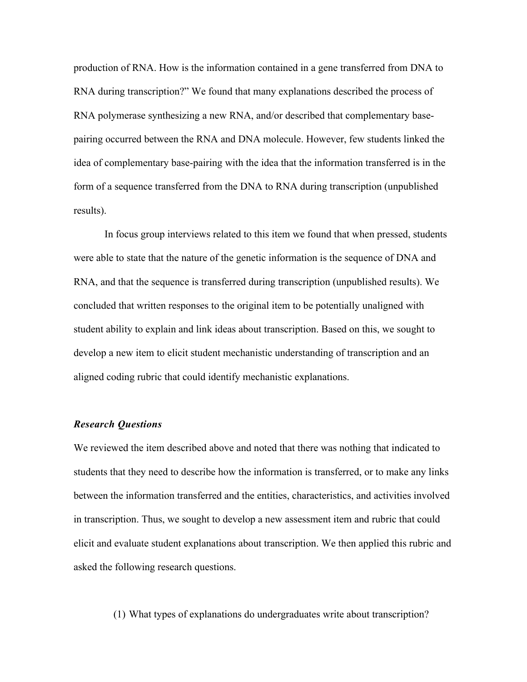production of RNA. How is the information contained in a gene transferred from DNA to RNA during transcription?" We found that many explanations described the process of RNA polymerase synthesizing a new RNA, and/or described that complementary basepairing occurred between the RNA and DNA molecule. However, few students linked the idea of complementary base-pairing with the idea that the information transferred is in the form of a sequence transferred from the DNA to RNA during transcription (unpublished results).

In focus group interviews related to this item we found that when pressed, students were able to state that the nature of the genetic information is the sequence of DNA and RNA, and that the sequence is transferred during transcription (unpublished results). We concluded that written responses to the original item to be potentially unaligned with student ability to explain and link ideas about transcription. Based on this, we sought to develop a new item to elicit student mechanistic understanding of transcription and an aligned coding rubric that could identify mechanistic explanations.

### *Research Questions*

We reviewed the item described above and noted that there was nothing that indicated to students that they need to describe how the information is transferred, or to make any links between the information transferred and the entities, characteristics, and activities involved in transcription. Thus, we sought to develop a new assessment item and rubric that could elicit and evaluate student explanations about transcription. We then applied this rubric and asked the following research questions.

(1) What types of explanations do undergraduates write about transcription?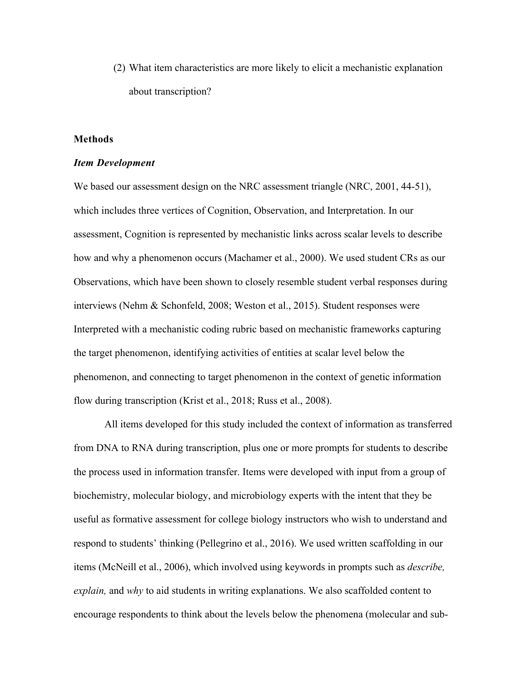(2) What item characteristics are more likely to elicit a mechanistic explanation about transcription?

## **Methods**

#### *Item Development*

We based our assessment design on the NRC assessment triangle (NRC, 2001, 44-51), which includes three vertices of Cognition, Observation, and Interpretation. In our assessment, Cognition is represented by mechanistic links across scalar levels to describe how and why a phenomenon occurs (Machamer et al., 2000). We used student CRs as our Observations, which have been shown to closely resemble student verbal responses during interviews (Nehm & Schonfeld, 2008; Weston et al., 2015). Student responses were Interpreted with a mechanistic coding rubric based on mechanistic frameworks capturing the target phenomenon, identifying activities of entities at scalar level below the phenomenon, and connecting to target phenomenon in the context of genetic information flow during transcription (Krist et al., 2018; Russ et al., 2008).

All items developed for this study included the context of information as transferred from DNA to RNA during transcription, plus one or more prompts for students to describe the process used in information transfer. Items were developed with input from a group of biochemistry, molecular biology, and microbiology experts with the intent that they be useful as formative assessment for college biology instructors who wish to understand and respond to students' thinking (Pellegrino et al., 2016). We used written scaffolding in our items (McNeill et al., 2006), which involved using keywords in prompts such as *describe, explain,* and *why* to aid students in writing explanations. We also scaffolded content to encourage respondents to think about the levels below the phenomena (molecular and sub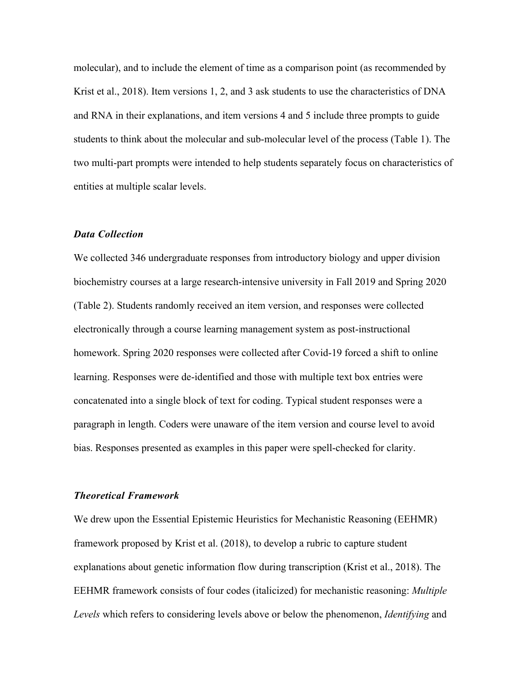molecular), and to include the element of time as a comparison point (as recommended by Krist et al., 2018). Item versions 1, 2, and 3 ask students to use the characteristics of DNA and RNA in their explanations, and item versions 4 and 5 include three prompts to guide students to think about the molecular and sub-molecular level of the process (Table 1). The two multi-part prompts were intended to help students separately focus on characteristics of entities at multiple scalar levels.

#### *Data Collection*

We collected 346 undergraduate responses from introductory biology and upper division biochemistry courses at a large research-intensive university in Fall 2019 and Spring 2020 (Table 2). Students randomly received an item version, and responses were collected electronically through a course learning management system as post-instructional homework. Spring 2020 responses were collected after Covid-19 forced a shift to online learning. Responses were de-identified and those with multiple text box entries were concatenated into a single block of text for coding. Typical student responses were a paragraph in length. Coders were unaware of the item version and course level to avoid bias. Responses presented as examples in this paper were spell-checked for clarity.

#### *Theoretical Framework*

We drew upon the Essential Epistemic Heuristics for Mechanistic Reasoning (EEHMR) framework proposed by Krist et al. (2018), to develop a rubric to capture student explanations about genetic information flow during transcription (Krist et al., 2018). The EEHMR framework consists of four codes (italicized) for mechanistic reasoning: *Multiple Levels* which refers to considering levels above or below the phenomenon, *Identifying* and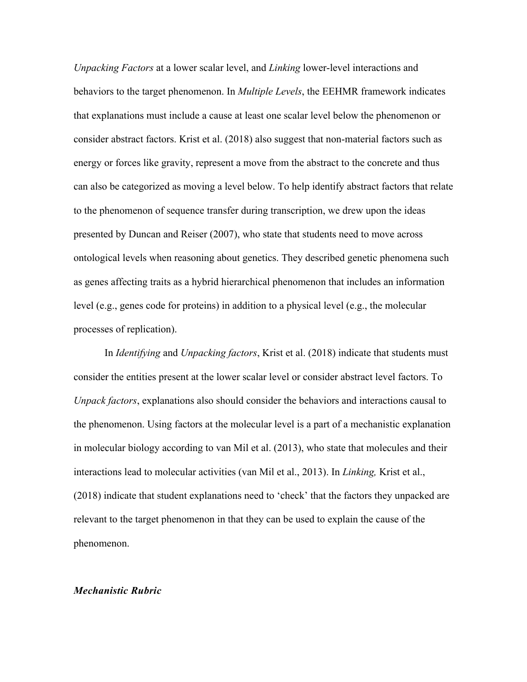*Unpacking Factors* at a lower scalar level, and *Linking* lower-level interactions and behaviors to the target phenomenon. In *Multiple Levels*, the EEHMR framework indicates that explanations must include a cause at least one scalar level below the phenomenon or consider abstract factors. Krist et al. (2018) also suggest that non-material factors such as energy or forces like gravity, represent a move from the abstract to the concrete and thus can also be categorized as moving a level below. To help identify abstract factors that relate to the phenomenon of sequence transfer during transcription, we drew upon the ideas presented by Duncan and Reiser (2007), who state that students need to move across ontological levels when reasoning about genetics. They described genetic phenomena such as genes affecting traits as a hybrid hierarchical phenomenon that includes an information level (e.g., genes code for proteins) in addition to a physical level (e.g., the molecular processes of replication).

In *Identifying* and *Unpacking factors*, Krist et al. (2018) indicate that students must consider the entities present at the lower scalar level or consider abstract level factors. To *Unpack factors*, explanations also should consider the behaviors and interactions causal to the phenomenon. Using factors at the molecular level is a part of a mechanistic explanation in molecular biology according to van Mil et al. (2013), who state that molecules and their interactions lead to molecular activities (van Mil et al., 2013). In *Linking,* Krist et al., (2018) indicate that student explanations need to 'check' that the factors they unpacked are relevant to the target phenomenon in that they can be used to explain the cause of the phenomenon.

#### *Mechanistic Rubric*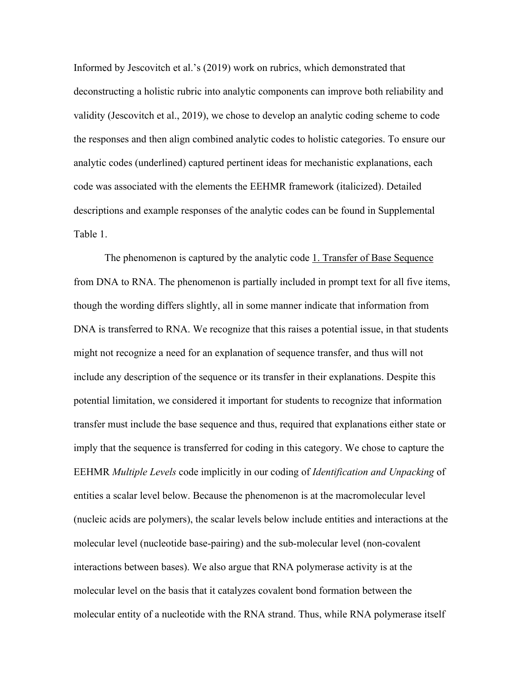Informed by Jescovitch et al.'s (2019) work on rubrics, which demonstrated that deconstructing a holistic rubric into analytic components can improve both reliability and validity (Jescovitch et al., 2019), we chose to develop an analytic coding scheme to code the responses and then align combined analytic codes to holistic categories. To ensure our analytic codes (underlined) captured pertinent ideas for mechanistic explanations, each code was associated with the elements the EEHMR framework (italicized). Detailed descriptions and example responses of the analytic codes can be found in Supplemental Table 1.

The phenomenon is captured by the analytic code 1. Transfer of Base Sequence from DNA to RNA. The phenomenon is partially included in prompt text for all five items, though the wording differs slightly, all in some manner indicate that information from DNA is transferred to RNA. We recognize that this raises a potential issue, in that students might not recognize a need for an explanation of sequence transfer, and thus will not include any description of the sequence or its transfer in their explanations. Despite this potential limitation, we considered it important for students to recognize that information transfer must include the base sequence and thus, required that explanations either state or imply that the sequence is transferred for coding in this category. We chose to capture the EEHMR *Multiple Levels* code implicitly in our coding of *Identification and Unpacking* of entities a scalar level below. Because the phenomenon is at the macromolecular level (nucleic acids are polymers), the scalar levels below include entities and interactions at the molecular level (nucleotide base-pairing) and the sub-molecular level (non-covalent interactions between bases). We also argue that RNA polymerase activity is at the molecular level on the basis that it catalyzes covalent bond formation between the molecular entity of a nucleotide with the RNA strand. Thus, while RNA polymerase itself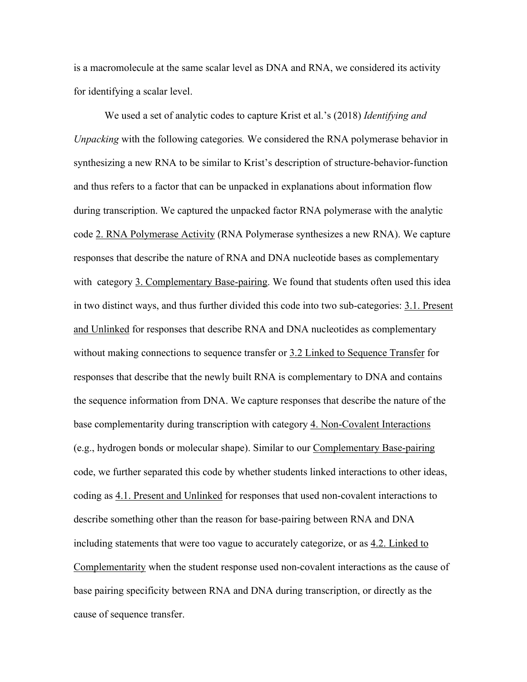is a macromolecule at the same scalar level as DNA and RNA, we considered its activity for identifying a scalar level.

We used a set of analytic codes to capture Krist et al.'s (2018) *Identifying and Unpacking* with the following categories*.* We considered the RNA polymerase behavior in synthesizing a new RNA to be similar to Krist's description of structure-behavior-function and thus refers to a factor that can be unpacked in explanations about information flow during transcription. We captured the unpacked factor RNA polymerase with the analytic code 2. RNA Polymerase Activity (RNA Polymerase synthesizes a new RNA). We capture responses that describe the nature of RNA and DNA nucleotide bases as complementary with category 3. Complementary Base-pairing. We found that students often used this idea in two distinct ways, and thus further divided this code into two sub-categories: 3.1. Present and Unlinked for responses that describe RNA and DNA nucleotides as complementary without making connections to sequence transfer or 3.2 Linked to Sequence Transfer for responses that describe that the newly built RNA is complementary to DNA and contains the sequence information from DNA. We capture responses that describe the nature of the base complementarity during transcription with category 4. Non-Covalent Interactions (e.g., hydrogen bonds or molecular shape). Similar to our Complementary Base-pairing code, we further separated this code by whether students linked interactions to other ideas, coding as 4.1. Present and Unlinked for responses that used non-covalent interactions to describe something other than the reason for base-pairing between RNA and DNA including statements that were too vague to accurately categorize, or as 4.2. Linked to Complementarity when the student response used non-covalent interactions as the cause of base pairing specificity between RNA and DNA during transcription, or directly as the cause of sequence transfer.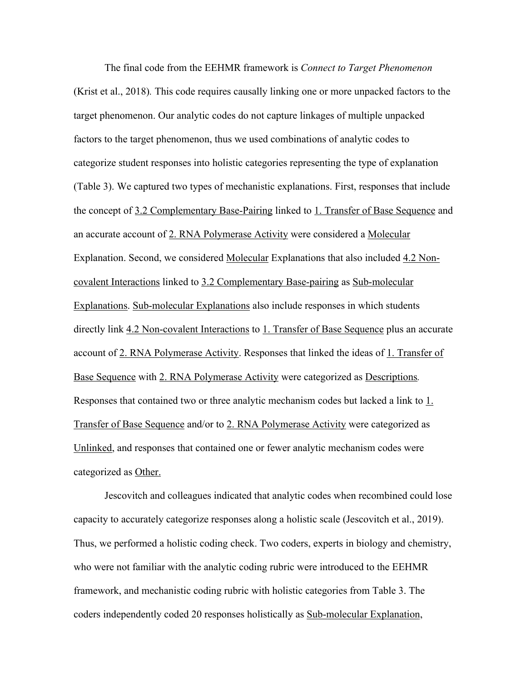The final code from the EEHMR framework is *Connect to Target Phenomenon*  (Krist et al., 2018)*.* This code requires causally linking one or more unpacked factors to the target phenomenon. Our analytic codes do not capture linkages of multiple unpacked factors to the target phenomenon, thus we used combinations of analytic codes to categorize student responses into holistic categories representing the type of explanation (Table 3). We captured two types of mechanistic explanations. First, responses that include the concept of 3.2 Complementary Base-Pairing linked to 1. Transfer of Base Sequence and an accurate account of 2. RNA Polymerase Activity were considered a Molecular Explanation. Second, we considered Molecular Explanations that also included 4.2 Noncovalent Interactions linked to 3.2 Complementary Base-pairing as Sub-molecular Explanations. Sub-molecular Explanations also include responses in which students directly link 4.2 Non-covalent Interactions to 1. Transfer of Base Sequence plus an accurate account of 2. RNA Polymerase Activity. Responses that linked the ideas of 1. Transfer of Base Sequence with 2. RNA Polymerase Activity were categorized as Descriptions*.*  Responses that contained two or three analytic mechanism codes but lacked a link to  $1$ . Transfer of Base Sequence and/or to 2. RNA Polymerase Activity were categorized as Unlinked, and responses that contained one or fewer analytic mechanism codes were categorized as Other.

Jescovitch and colleagues indicated that analytic codes when recombined could lose capacity to accurately categorize responses along a holistic scale (Jescovitch et al., 2019). Thus, we performed a holistic coding check. Two coders, experts in biology and chemistry, who were not familiar with the analytic coding rubric were introduced to the EEHMR framework, and mechanistic coding rubric with holistic categories from Table 3. The coders independently coded 20 responses holistically as Sub-molecular Explanation,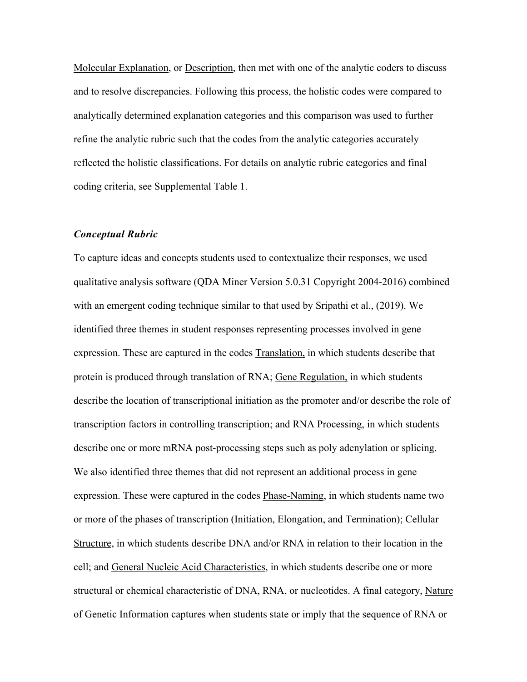Molecular Explanation, or Description, then met with one of the analytic coders to discuss and to resolve discrepancies. Following this process, the holistic codes were compared to analytically determined explanation categories and this comparison was used to further refine the analytic rubric such that the codes from the analytic categories accurately reflected the holistic classifications. For details on analytic rubric categories and final coding criteria, see Supplemental Table 1.

### *Conceptual Rubric*

To capture ideas and concepts students used to contextualize their responses, we used qualitative analysis software (QDA Miner Version 5.0.31 Copyright 2004-2016) combined with an emergent coding technique similar to that used by Sripathi et al., (2019). We identified three themes in student responses representing processes involved in gene expression. These are captured in the codes Translation, in which students describe that protein is produced through translation of RNA; Gene Regulation, in which students describe the location of transcriptional initiation as the promoter and/or describe the role of transcription factors in controlling transcription; and RNA Processing, in which students describe one or more mRNA post-processing steps such as poly adenylation or splicing. We also identified three themes that did not represent an additional process in gene expression. These were captured in the codes Phase-Naming, in which students name two or more of the phases of transcription (Initiation, Elongation, and Termination); Cellular Structure, in which students describe DNA and/or RNA in relation to their location in the cell; and General Nucleic Acid Characteristics, in which students describe one or more structural or chemical characteristic of DNA, RNA, or nucleotides. A final category, Nature of Genetic Information captures when students state or imply that the sequence of RNA or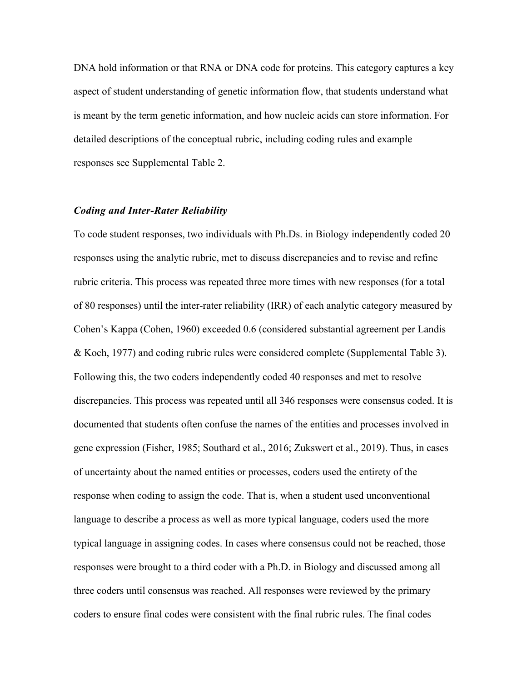DNA hold information or that RNA or DNA code for proteins. This category captures a key aspect of student understanding of genetic information flow, that students understand what is meant by the term genetic information, and how nucleic acids can store information. For detailed descriptions of the conceptual rubric, including coding rules and example responses see Supplemental Table 2.

#### *Coding and Inter-Rater Reliability*

To code student responses, two individuals with Ph.Ds. in Biology independently coded 20 responses using the analytic rubric, met to discuss discrepancies and to revise and refine rubric criteria. This process was repeated three more times with new responses (for a total of 80 responses) until the inter-rater reliability (IRR) of each analytic category measured by Cohen's Kappa (Cohen, 1960) exceeded 0.6 (considered substantial agreement per Landis & Koch, 1977) and coding rubric rules were considered complete (Supplemental Table 3). Following this, the two coders independently coded 40 responses and met to resolve discrepancies. This process was repeated until all 346 responses were consensus coded. It is documented that students often confuse the names of the entities and processes involved in gene expression (Fisher, 1985; Southard et al., 2016; Zukswert et al., 2019). Thus, in cases of uncertainty about the named entities or processes, coders used the entirety of the response when coding to assign the code. That is, when a student used unconventional language to describe a process as well as more typical language, coders used the more typical language in assigning codes. In cases where consensus could not be reached, those responses were brought to a third coder with a Ph.D. in Biology and discussed among all three coders until consensus was reached. All responses were reviewed by the primary coders to ensure final codes were consistent with the final rubric rules. The final codes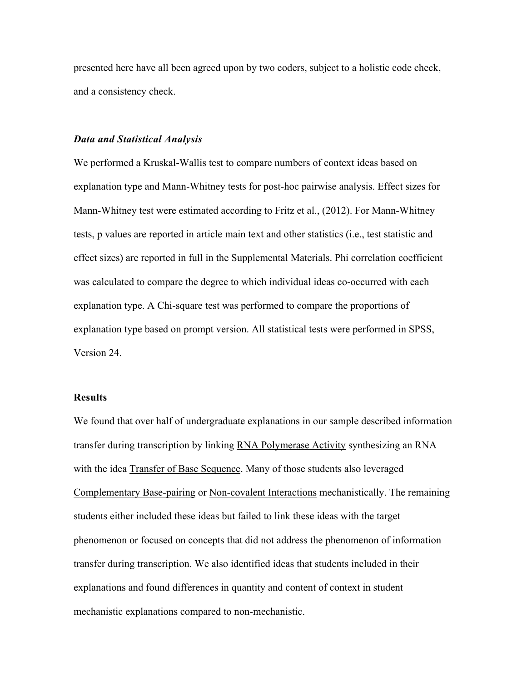presented here have all been agreed upon by two coders, subject to a holistic code check, and a consistency check.

#### *Data and Statistical Analysis*

We performed a Kruskal-Wallis test to compare numbers of context ideas based on explanation type and Mann-Whitney tests for post-hoc pairwise analysis. Effect sizes for Mann-Whitney test were estimated according to Fritz et al., (2012). For Mann-Whitney tests, p values are reported in article main text and other statistics (i.e., test statistic and effect sizes) are reported in full in the Supplemental Materials. Phi correlation coefficient was calculated to compare the degree to which individual ideas co-occurred with each explanation type. A Chi-square test was performed to compare the proportions of explanation type based on prompt version. All statistical tests were performed in SPSS, Version 24.

# **Results**

We found that over half of undergraduate explanations in our sample described information transfer during transcription by linking RNA Polymerase Activity synthesizing an RNA with the idea Transfer of Base Sequence. Many of those students also leveraged Complementary Base-pairing or Non-covalent Interactions mechanistically. The remaining students either included these ideas but failed to link these ideas with the target phenomenon or focused on concepts that did not address the phenomenon of information transfer during transcription. We also identified ideas that students included in their explanations and found differences in quantity and content of context in student mechanistic explanations compared to non-mechanistic.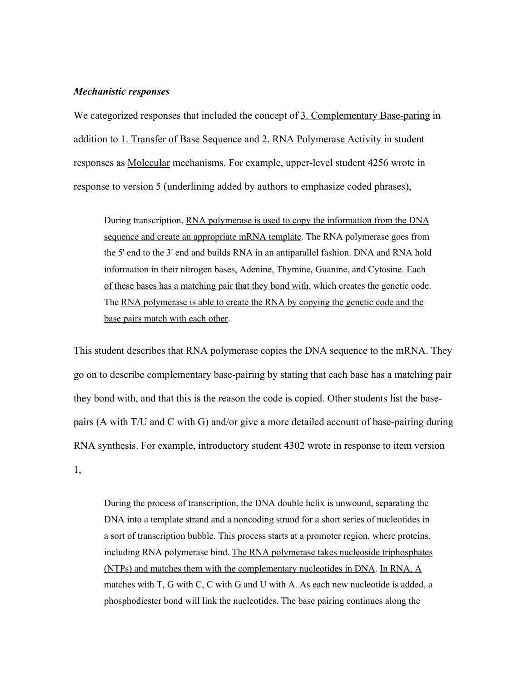#### *Mechanistic responses*

We categorized responses that included the concept of 3. Complementary Base-paring in addition to 1. Transfer of Base Sequence and 2. RNA Polymerase Activity in student responses as Molecular mechanisms. For example, upper-level student 4256 wrote in response to version 5 (underlining added by authors to emphasize coded phrases),

During transcription, RNA polymerase is used to copy the information from the DNA sequence and create an appropriate mRNA template. The RNA polymerase goes from the 5' end to the 3' end and builds RNA in an antiparallel fashion. DNA and RNA hold information in their nitrogen bases, Adenine, Thymine, Guanine, and Cytosine. Each of these bases has a matching pair that they bond with, which creates the genetic code. The RNA polymerase is able to create the RNA by copying the genetic code and the base pairs match with each other.

This student describes that RNA polymerase copies the DNA sequence to the mRNA. They go on to describe complementary base-pairing by stating that each base has a matching pair they bond with, and that this is the reason the code is copied. Other students list the basepairs (A with T/U and C with G) and/or give a more detailed account of base-pairing during RNA synthesis. For example, introductory student 4302 wrote in response to item version 1,

During the process of transcription, the DNA double helix is unwound, separating the DNA into a template strand and a noncoding strand for a short series of nucleotides in a sort of transcription bubble. This process starts at a promoter region, where proteins, including RNA polymerase bind. The RNA polymerase takes nucleoside triphosphates (NTPs) and matches them with the complementary nucleotides in DNA. In RNA, A matches with T, G with C, C with G and U with A. As each new nucleotide is added, a phosphodiester bond will link the nucleotides. The base pairing continues along the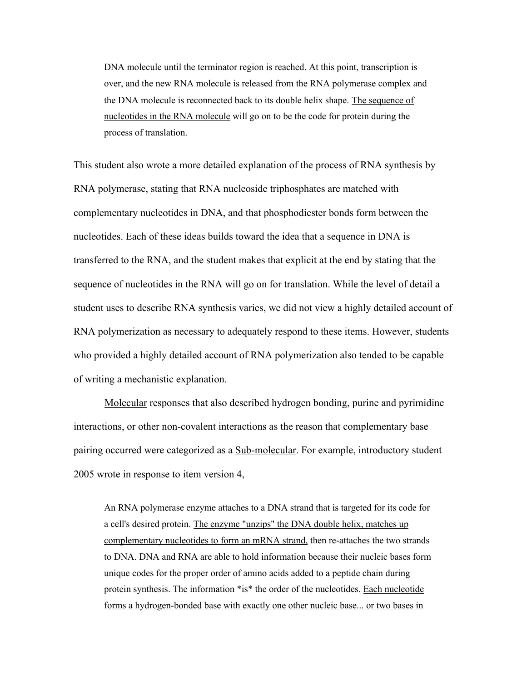DNA molecule until the terminator region is reached. At this point, transcription is over, and the new RNA molecule is released from the RNA polymerase complex and the DNA molecule is reconnected back to its double helix shape. The sequence of nucleotides in the RNA molecule will go on to be the code for protein during the process of translation.

This student also wrote a more detailed explanation of the process of RNA synthesis by RNA polymerase, stating that RNA nucleoside triphosphates are matched with complementary nucleotides in DNA, and that phosphodiester bonds form between the nucleotides. Each of these ideas builds toward the idea that a sequence in DNA is transferred to the RNA, and the student makes that explicit at the end by stating that the sequence of nucleotides in the RNA will go on for translation. While the level of detail a student uses to describe RNA synthesis varies, we did not view a highly detailed account of RNA polymerization as necessary to adequately respond to these items. However, students who provided a highly detailed account of RNA polymerization also tended to be capable of writing a mechanistic explanation.

Molecular responses that also described hydrogen bonding, purine and pyrimidine interactions, or other non-covalent interactions as the reason that complementary base pairing occurred were categorized as a **Sub-molecular**. For example, introductory student 2005 wrote in response to item version 4,

An RNA polymerase enzyme attaches to a DNA strand that is targeted for its code for a cell's desired protein. The enzyme "unzips" the DNA double helix, matches up complementary nucleotides to form an mRNA strand, then re-attaches the two strands to DNA. DNA and RNA are able to hold information because their nucleic bases form unique codes for the proper order of amino acids added to a peptide chain during protein synthesis. The information \*is\* the order of the nucleotides. Each nucleotide forms a hydrogen-bonded base with exactly one other nucleic base... or two bases in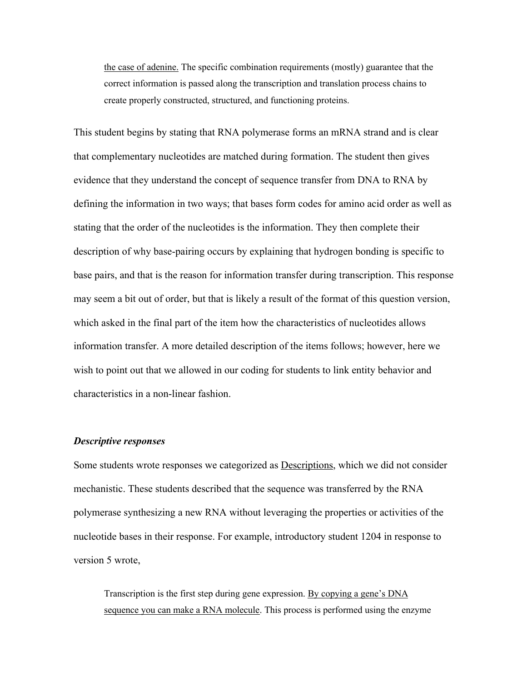the case of adenine. The specific combination requirements (mostly) guarantee that the correct information is passed along the transcription and translation process chains to create properly constructed, structured, and functioning proteins.

This student begins by stating that RNA polymerase forms an mRNA strand and is clear that complementary nucleotides are matched during formation. The student then gives evidence that they understand the concept of sequence transfer from DNA to RNA by defining the information in two ways; that bases form codes for amino acid order as well as stating that the order of the nucleotides is the information. They then complete their description of why base-pairing occurs by explaining that hydrogen bonding is specific to base pairs, and that is the reason for information transfer during transcription. This response may seem a bit out of order, but that is likely a result of the format of this question version, which asked in the final part of the item how the characteristics of nucleotides allows information transfer. A more detailed description of the items follows; however, here we wish to point out that we allowed in our coding for students to link entity behavior and characteristics in a non-linear fashion.

#### *Descriptive responses*

Some students wrote responses we categorized as Descriptions, which we did not consider mechanistic. These students described that the sequence was transferred by the RNA polymerase synthesizing a new RNA without leveraging the properties or activities of the nucleotide bases in their response. For example, introductory student 1204 in response to version 5 wrote,

Transcription is the first step during gene expression. By copying a gene's DNA sequence you can make a RNA molecule. This process is performed using the enzyme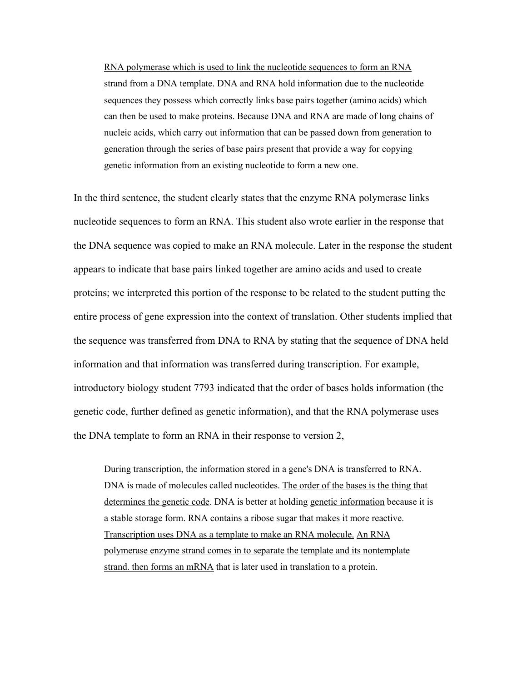RNA polymerase which is used to link the nucleotide sequences to form an RNA strand from a DNA template. DNA and RNA hold information due to the nucleotide sequences they possess which correctly links base pairs together (amino acids) which can then be used to make proteins. Because DNA and RNA are made of long chains of nucleic acids, which carry out information that can be passed down from generation to generation through the series of base pairs present that provide a way for copying genetic information from an existing nucleotide to form a new one.

In the third sentence, the student clearly states that the enzyme RNA polymerase links nucleotide sequences to form an RNA. This student also wrote earlier in the response that the DNA sequence was copied to make an RNA molecule. Later in the response the student appears to indicate that base pairs linked together are amino acids and used to create proteins; we interpreted this portion of the response to be related to the student putting the entire process of gene expression into the context of translation. Other students implied that the sequence was transferred from DNA to RNA by stating that the sequence of DNA held information and that information was transferred during transcription. For example, introductory biology student 7793 indicated that the order of bases holds information (the genetic code, further defined as genetic information), and that the RNA polymerase uses the DNA template to form an RNA in their response to version 2,

During transcription, the information stored in a gene's DNA is transferred to RNA. DNA is made of molecules called nucleotides. The order of the bases is the thing that determines the genetic code. DNA is better at holding genetic information because it is a stable storage form. RNA contains a ribose sugar that makes it more reactive. Transcription uses DNA as a template to make an RNA molecule. An RNA polymerase enzyme strand comes in to separate the template and its nontemplate strand. then forms an mRNA that is later used in translation to a protein.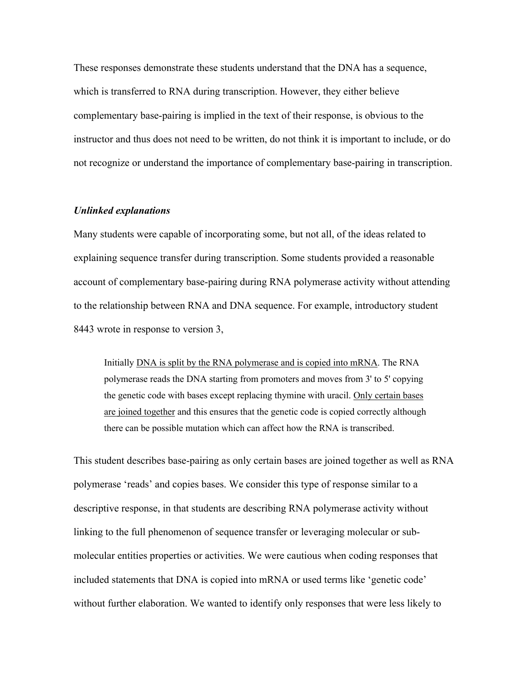These responses demonstrate these students understand that the DNA has a sequence, which is transferred to RNA during transcription. However, they either believe complementary base-pairing is implied in the text of their response, is obvious to the instructor and thus does not need to be written, do not think it is important to include, or do not recognize or understand the importance of complementary base-pairing in transcription.

#### *Unlinked explanations*

Many students were capable of incorporating some, but not all, of the ideas related to explaining sequence transfer during transcription. Some students provided a reasonable account of complementary base-pairing during RNA polymerase activity without attending to the relationship between RNA and DNA sequence. For example, introductory student 8443 wrote in response to version 3,

Initially DNA is split by the RNA polymerase and is copied into mRNA. The RNA polymerase reads the DNA starting from promoters and moves from 3' to 5' copying the genetic code with bases except replacing thymine with uracil. Only certain bases are joined together and this ensures that the genetic code is copied correctly although there can be possible mutation which can affect how the RNA is transcribed.

This student describes base-pairing as only certain bases are joined together as well as RNA polymerase 'reads' and copies bases. We consider this type of response similar to a descriptive response, in that students are describing RNA polymerase activity without linking to the full phenomenon of sequence transfer or leveraging molecular or submolecular entities properties or activities. We were cautious when coding responses that included statements that DNA is copied into mRNA or used terms like 'genetic code' without further elaboration. We wanted to identify only responses that were less likely to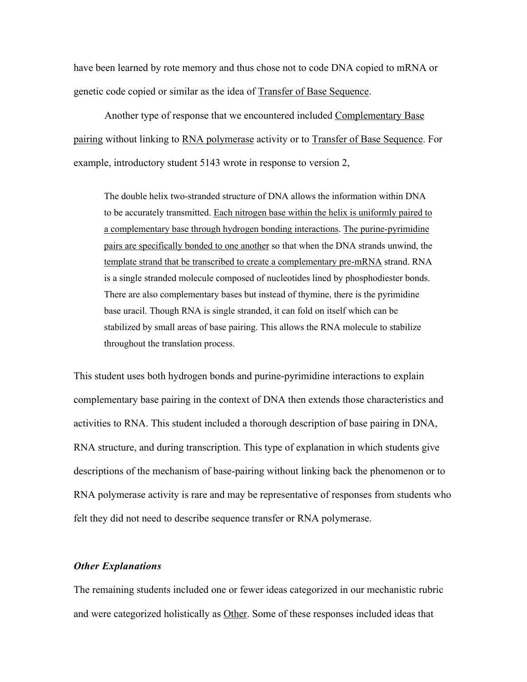have been learned by rote memory and thus chose not to code DNA copied to mRNA or genetic code copied or similar as the idea of Transfer of Base Sequence.

Another type of response that we encountered included Complementary Base pairing without linking to RNA polymerase activity or to Transfer of Base Sequence. For example, introductory student 5143 wrote in response to version 2,

The double helix two-stranded structure of DNA allows the information within DNA to be accurately transmitted. Each nitrogen base within the helix is uniformly paired to a complementary base through hydrogen bonding interactions. The purine-pyrimidine pairs are specifically bonded to one another so that when the DNA strands unwind, the template strand that be transcribed to create a complementary pre-mRNA strand. RNA is a single stranded molecule composed of nucleotides lined by phosphodiester bonds. There are also complementary bases but instead of thymine, there is the pyrimidine base uracil. Though RNA is single stranded, it can fold on itself which can be stabilized by small areas of base pairing. This allows the RNA molecule to stabilize throughout the translation process.

This student uses both hydrogen bonds and purine-pyrimidine interactions to explain complementary base pairing in the context of DNA then extends those characteristics and activities to RNA. This student included a thorough description of base pairing in DNA, RNA structure, and during transcription. This type of explanation in which students give descriptions of the mechanism of base-pairing without linking back the phenomenon or to RNA polymerase activity is rare and may be representative of responses from students who felt they did not need to describe sequence transfer or RNA polymerase.

# *Other Explanations*

The remaining students included one or fewer ideas categorized in our mechanistic rubric and were categorized holistically as Other. Some of these responses included ideas that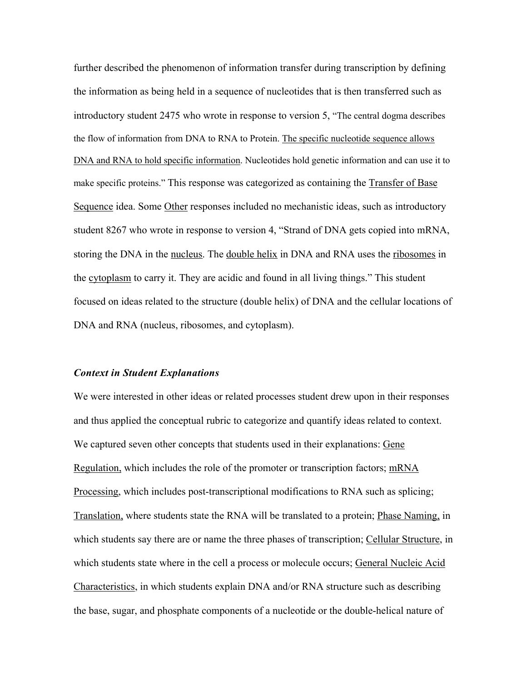further described the phenomenon of information transfer during transcription by defining the information as being held in a sequence of nucleotides that is then transferred such as introductory student 2475 who wrote in response to version 5, "The central dogma describes the flow of information from DNA to RNA to Protein. The specific nucleotide sequence allows DNA and RNA to hold specific information. Nucleotides hold genetic information and can use it to make specific proteins." This response was categorized as containing the Transfer of Base Sequence idea. Some Other responses included no mechanistic ideas, such as introductory student 8267 who wrote in response to version 4, "Strand of DNA gets copied into mRNA, storing the DNA in the nucleus. The double helix in DNA and RNA uses the ribosomes in the cytoplasm to carry it. They are acidic and found in all living things." This student focused on ideas related to the structure (double helix) of DNA and the cellular locations of DNA and RNA (nucleus, ribosomes, and cytoplasm).

#### *Context in Student Explanations*

We were interested in other ideas or related processes student drew upon in their responses and thus applied the conceptual rubric to categorize and quantify ideas related to context. We captured seven other concepts that students used in their explanations: Gene Regulation, which includes the role of the promoter or transcription factors; mRNA Processing, which includes post-transcriptional modifications to RNA such as splicing; Translation, where students state the RNA will be translated to a protein; Phase Naming, in which students say there are or name the three phases of transcription; Cellular Structure, in which students state where in the cell a process or molecule occurs; General Nucleic Acid Characteristics, in which students explain DNA and/or RNA structure such as describing the base, sugar, and phosphate components of a nucleotide or the double-helical nature of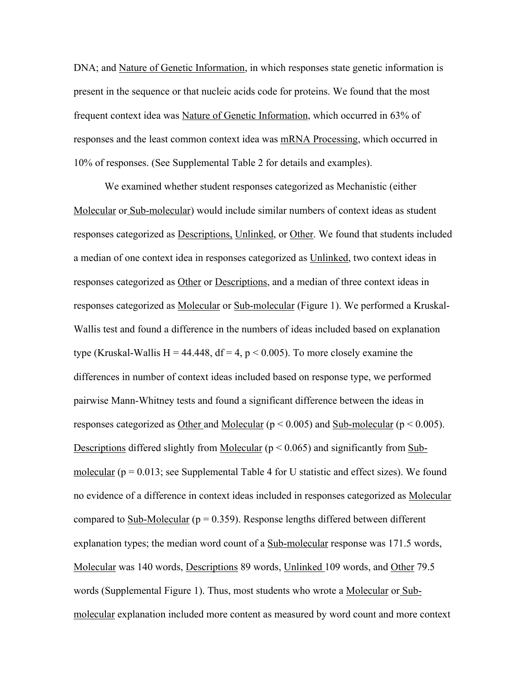DNA; and Nature of Genetic Information, in which responses state genetic information is present in the sequence or that nucleic acids code for proteins. We found that the most frequent context idea was Nature of Genetic Information, which occurred in 63% of responses and the least common context idea was mRNA Processing, which occurred in 10% of responses. (See Supplemental Table 2 for details and examples).

We examined whether student responses categorized as Mechanistic (either Molecular or Sub-molecular) would include similar numbers of context ideas as student responses categorized as Descriptions, Unlinked, or Other. We found that students included a median of one context idea in responses categorized as Unlinked, two context ideas in responses categorized as Other or Descriptions, and a median of three context ideas in responses categorized as Molecular or Sub-molecular (Figure 1). We performed a Kruskal-Wallis test and found a difference in the numbers of ideas included based on explanation type (Kruskal-Wallis H = 44.448,  $df = 4$ , p < 0.005). To more closely examine the differences in number of context ideas included based on response type, we performed pairwise Mann-Whitney tests and found a significant difference between the ideas in responses categorized as Other and Molecular ( $p < 0.005$ ) and Sub-molecular ( $p < 0.005$ ). Descriptions differed slightly from Molecular ( $p < 0.065$ ) and significantly from Submolecular ( $p = 0.013$ ; see Supplemental Table 4 for U statistic and effect sizes). We found no evidence of a difference in context ideas included in responses categorized as Molecular compared to Sub-Molecular ( $p = 0.359$ ). Response lengths differed between different explanation types; the median word count of a Sub-molecular response was 171.5 words, Molecular was 140 words, Descriptions 89 words, Unlinked 109 words, and Other 79.5 words (Supplemental Figure 1). Thus, most students who wrote a Molecular or Submolecular explanation included more content as measured by word count and more context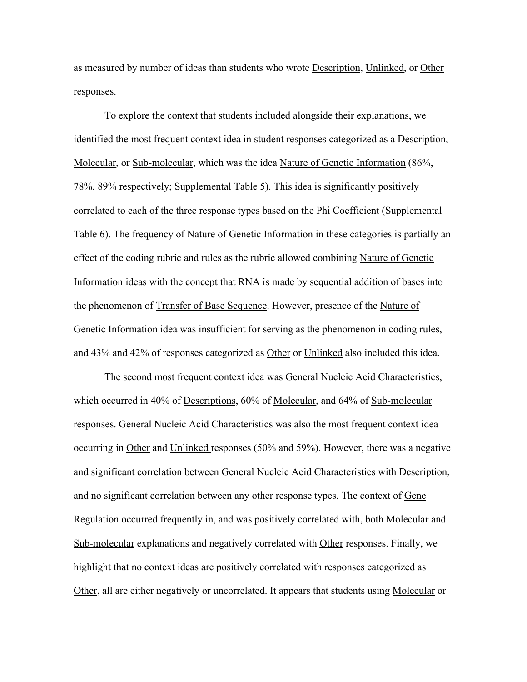as measured by number of ideas than students who wrote Description, Unlinked, or Other responses.

To explore the context that students included alongside their explanations, we identified the most frequent context idea in student responses categorized as a Description, Molecular, or Sub-molecular, which was the idea Nature of Genetic Information (86%, 78%, 89% respectively; Supplemental Table 5). This idea is significantly positively correlated to each of the three response types based on the Phi Coefficient (Supplemental Table 6). The frequency of Nature of Genetic Information in these categories is partially an effect of the coding rubric and rules as the rubric allowed combining Nature of Genetic Information ideas with the concept that RNA is made by sequential addition of bases into the phenomenon of Transfer of Base Sequence. However, presence of the Nature of Genetic Information idea was insufficient for serving as the phenomenon in coding rules, and 43% and 42% of responses categorized as Other or Unlinked also included this idea.

The second most frequent context idea was General Nucleic Acid Characteristics, which occurred in 40% of Descriptions, 60% of Molecular, and 64% of Sub-molecular responses. General Nucleic Acid Characteristics was also the most frequent context idea occurring in Other and Unlinked responses (50% and 59%). However, there was a negative and significant correlation between General Nucleic Acid Characteristics with Description, and no significant correlation between any other response types. The context of Gene Regulation occurred frequently in, and was positively correlated with, both Molecular and Sub-molecular explanations and negatively correlated with Other responses. Finally, we highlight that no context ideas are positively correlated with responses categorized as Other, all are either negatively or uncorrelated. It appears that students using Molecular or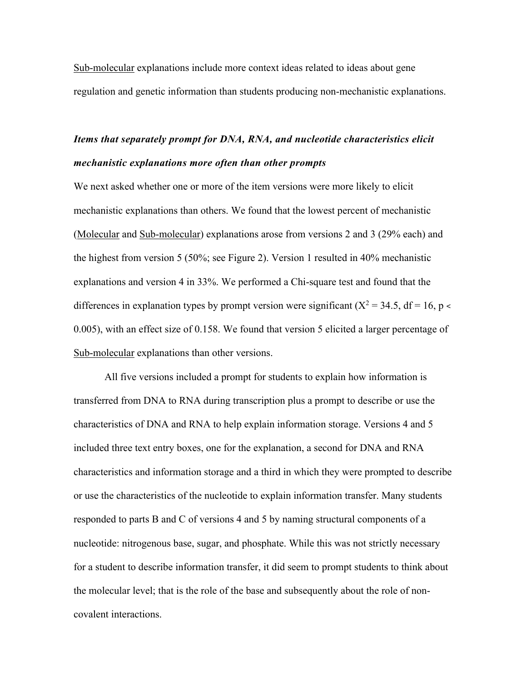Sub-molecular explanations include more context ideas related to ideas about gene regulation and genetic information than students producing non-mechanistic explanations.

# *Items that separately prompt for DNA, RNA, and nucleotide characteristics elicit mechanistic explanations more often than other prompts*

We next asked whether one or more of the item versions were more likely to elicit mechanistic explanations than others. We found that the lowest percent of mechanistic (Molecular and Sub-molecular) explanations arose from versions 2 and 3 (29% each) and the highest from version 5 (50%; see Figure 2). Version 1 resulted in 40% mechanistic explanations and version 4 in 33%. We performed a Chi-square test and found that the differences in explanation types by prompt version were significant ( $X^2 = 34.5$ , df = 16, p < 0.005), with an effect size of 0.158. We found that version 5 elicited a larger percentage of Sub-molecular explanations than other versions.

All five versions included a prompt for students to explain how information is transferred from DNA to RNA during transcription plus a prompt to describe or use the characteristics of DNA and RNA to help explain information storage. Versions 4 and 5 included three text entry boxes, one for the explanation, a second for DNA and RNA characteristics and information storage and a third in which they were prompted to describe or use the characteristics of the nucleotide to explain information transfer. Many students responded to parts B and C of versions 4 and 5 by naming structural components of a nucleotide: nitrogenous base, sugar, and phosphate. While this was not strictly necessary for a student to describe information transfer, it did seem to prompt students to think about the molecular level; that is the role of the base and subsequently about the role of noncovalent interactions.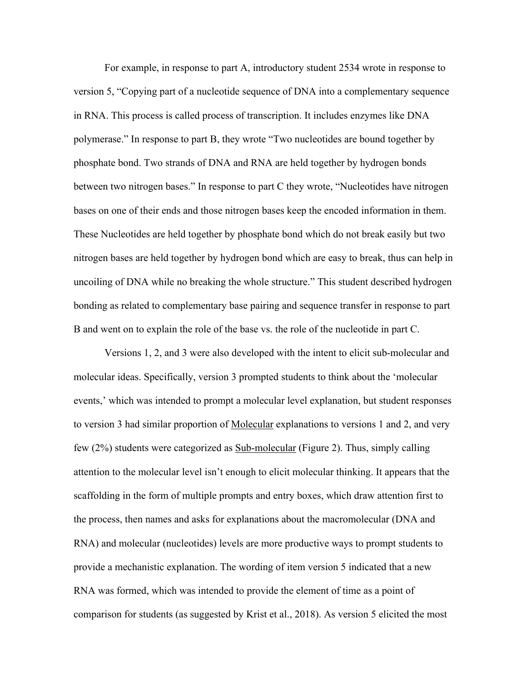For example, in response to part A, introductory student 2534 wrote in response to version 5, "Copying part of a nucleotide sequence of DNA into a complementary sequence in RNA. This process is called process of transcription. It includes enzymes like DNA polymerase." In response to part B, they wrote "Two nucleotides are bound together by phosphate bond. Two strands of DNA and RNA are held together by hydrogen bonds between two nitrogen bases." In response to part C they wrote, "Nucleotides have nitrogen bases on one of their ends and those nitrogen bases keep the encoded information in them. These Nucleotides are held together by phosphate bond which do not break easily but two nitrogen bases are held together by hydrogen bond which are easy to break, thus can help in uncoiling of DNA while no breaking the whole structure." This student described hydrogen bonding as related to complementary base pairing and sequence transfer in response to part B and went on to explain the role of the base vs. the role of the nucleotide in part C.

Versions 1, 2, and 3 were also developed with the intent to elicit sub-molecular and molecular ideas. Specifically, version 3 prompted students to think about the 'molecular events,' which was intended to prompt a molecular level explanation, but student responses to version 3 had similar proportion of Molecular explanations to versions 1 and 2, and very few (2%) students were categorized as Sub-molecular (Figure 2). Thus, simply calling attention to the molecular level isn't enough to elicit molecular thinking. It appears that the scaffolding in the form of multiple prompts and entry boxes, which draw attention first to the process, then names and asks for explanations about the macromolecular (DNA and RNA) and molecular (nucleotides) levels are more productive ways to prompt students to provide a mechanistic explanation. The wording of item version 5 indicated that a new RNA was formed, which was intended to provide the element of time as a point of comparison for students (as suggested by Krist et al., 2018). As version 5 elicited the most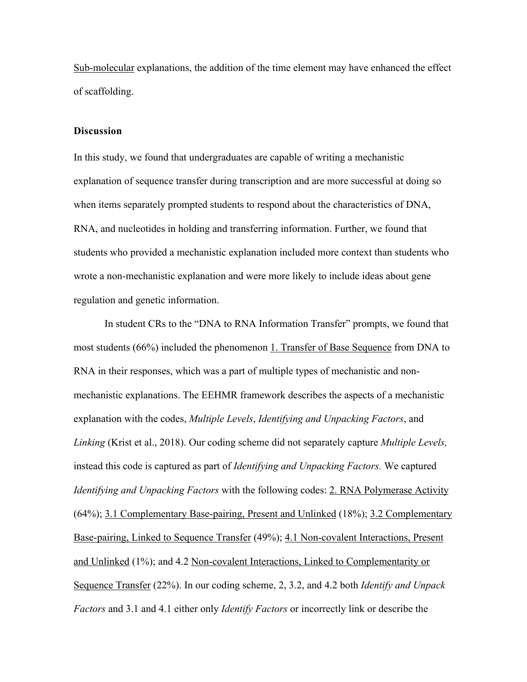Sub-molecular explanations, the addition of the time element may have enhanced the effect of scaffolding.

#### **Discussion**

In this study, we found that undergraduates are capable of writing a mechanistic explanation of sequence transfer during transcription and are more successful at doing so when items separately prompted students to respond about the characteristics of DNA, RNA, and nucleotides in holding and transferring information. Further, we found that students who provided a mechanistic explanation included more context than students who wrote a non-mechanistic explanation and were more likely to include ideas about gene regulation and genetic information.

In student CRs to the "DNA to RNA Information Transfer" prompts, we found that most students (66%) included the phenomenon 1. Transfer of Base Sequence from DNA to RNA in their responses, which was a part of multiple types of mechanistic and nonmechanistic explanations. The EEHMR framework describes the aspects of a mechanistic explanation with the codes, *Multiple Levels*, *Identifying and Unpacking Factors*, and *Linking* (Krist et al., 2018). Our coding scheme did not separately capture *Multiple Levels,*  instead this code is captured as part of *Identifying and Unpacking Factors.* We captured *Identifying and Unpacking Factors* with the following codes: 2. RNA Polymerase Activity (64%); 3.1 Complementary Base-pairing, Present and Unlinked (18%); 3.2 Complementary Base-pairing, Linked to Sequence Transfer (49%); 4.1 Non-covalent Interactions, Present and Unlinked (1%); and 4.2 Non-covalent Interactions, Linked to Complementarity or Sequence Transfer (22%). In our coding scheme, 2, 3.2, and 4.2 both *Identify and Unpack Factors* and 3.1 and 4.1 either only *Identify Factors* or incorrectly link or describe the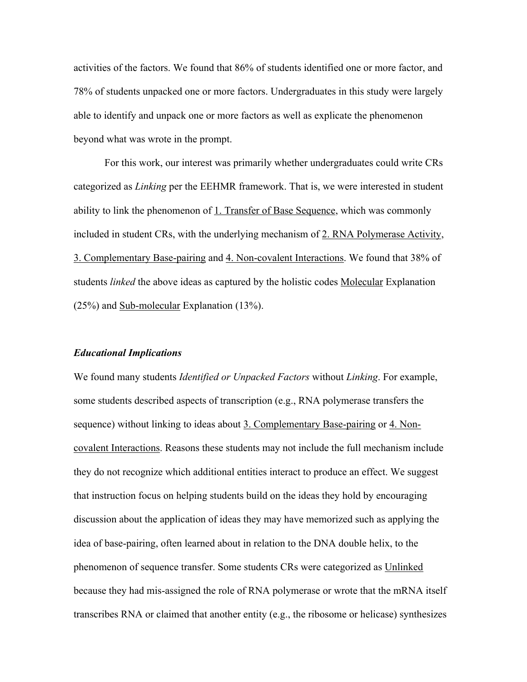activities of the factors. We found that 86% of students identified one or more factor, and 78% of students unpacked one or more factors. Undergraduates in this study were largely able to identify and unpack one or more factors as well as explicate the phenomenon beyond what was wrote in the prompt.

For this work, our interest was primarily whether undergraduates could write CRs categorized as *Linking* per the EEHMR framework. That is, we were interested in student ability to link the phenomenon of 1. Transfer of Base Sequence, which was commonly included in student CRs, with the underlying mechanism of 2. RNA Polymerase Activity, 3. Complementary Base-pairing and 4. Non-covalent Interactions. We found that 38% of students *linked* the above ideas as captured by the holistic codes Molecular Explanation (25%) and Sub-molecular Explanation (13%).

#### *Educational Implications*

We found many students *Identified or Unpacked Factors* without *Linking*. For example, some students described aspects of transcription (e.g., RNA polymerase transfers the sequence) without linking to ideas about 3. Complementary Base-pairing or 4. Noncovalent Interactions. Reasons these students may not include the full mechanism include they do not recognize which additional entities interact to produce an effect. We suggest that instruction focus on helping students build on the ideas they hold by encouraging discussion about the application of ideas they may have memorized such as applying the idea of base-pairing, often learned about in relation to the DNA double helix, to the phenomenon of sequence transfer. Some students CRs were categorized as Unlinked because they had mis-assigned the role of RNA polymerase or wrote that the mRNA itself transcribes RNA or claimed that another entity (e.g., the ribosome or helicase) synthesizes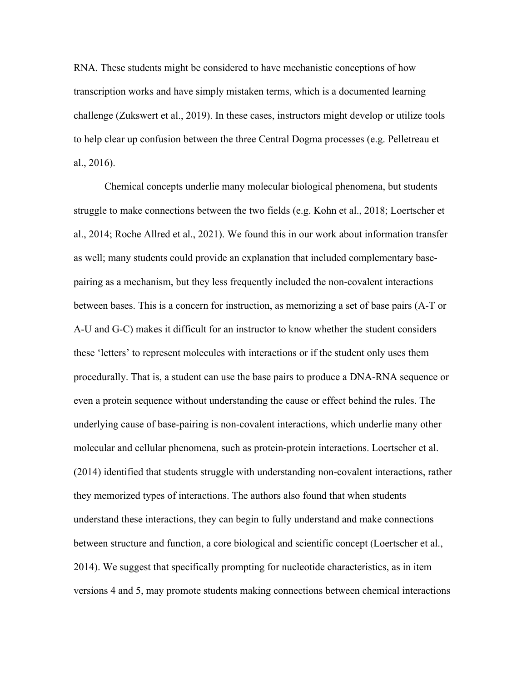RNA. These students might be considered to have mechanistic conceptions of how transcription works and have simply mistaken terms, which is a documented learning challenge (Zukswert et al., 2019). In these cases, instructors might develop or utilize tools to help clear up confusion between the three Central Dogma processes (e.g. Pelletreau et al., 2016).

Chemical concepts underlie many molecular biological phenomena, but students struggle to make connections between the two fields (e.g. Kohn et al., 2018; Loertscher et al., 2014; Roche Allred et al., 2021). We found this in our work about information transfer as well; many students could provide an explanation that included complementary basepairing as a mechanism, but they less frequently included the non-covalent interactions between bases. This is a concern for instruction, as memorizing a set of base pairs (A-T or A-U and G-C) makes it difficult for an instructor to know whether the student considers these 'letters' to represent molecules with interactions or if the student only uses them procedurally. That is, a student can use the base pairs to produce a DNA-RNA sequence or even a protein sequence without understanding the cause or effect behind the rules. The underlying cause of base-pairing is non-covalent interactions, which underlie many other molecular and cellular phenomena, such as protein-protein interactions. Loertscher et al. (2014) identified that students struggle with understanding non-covalent interactions, rather they memorized types of interactions. The authors also found that when students understand these interactions, they can begin to fully understand and make connections between structure and function, a core biological and scientific concept (Loertscher et al., 2014). We suggest that specifically prompting for nucleotide characteristics, as in item versions 4 and 5, may promote students making connections between chemical interactions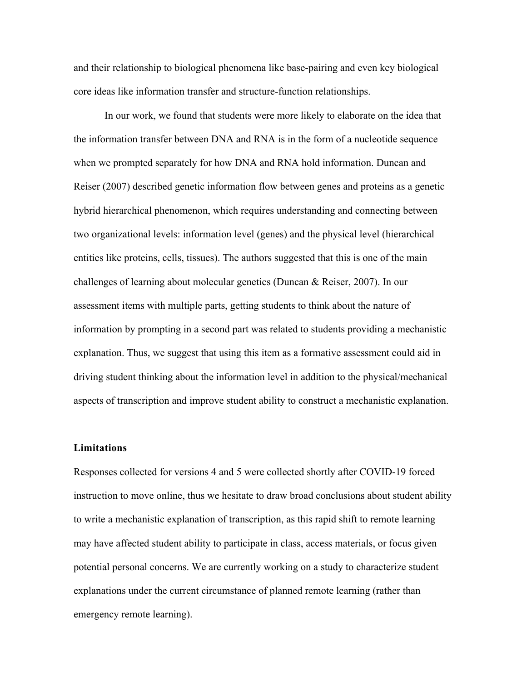and their relationship to biological phenomena like base-pairing and even key biological core ideas like information transfer and structure-function relationships.

In our work, we found that students were more likely to elaborate on the idea that the information transfer between DNA and RNA is in the form of a nucleotide sequence when we prompted separately for how DNA and RNA hold information. Duncan and Reiser (2007) described genetic information flow between genes and proteins as a genetic hybrid hierarchical phenomenon, which requires understanding and connecting between two organizational levels: information level (genes) and the physical level (hierarchical entities like proteins, cells, tissues). The authors suggested that this is one of the main challenges of learning about molecular genetics (Duncan & Reiser, 2007). In our assessment items with multiple parts, getting students to think about the nature of information by prompting in a second part was related to students providing a mechanistic explanation. Thus, we suggest that using this item as a formative assessment could aid in driving student thinking about the information level in addition to the physical/mechanical aspects of transcription and improve student ability to construct a mechanistic explanation.

#### **Limitations**

Responses collected for versions 4 and 5 were collected shortly after COVID-19 forced instruction to move online, thus we hesitate to draw broad conclusions about student ability to write a mechanistic explanation of transcription, as this rapid shift to remote learning may have affected student ability to participate in class, access materials, or focus given potential personal concerns. We are currently working on a study to characterize student explanations under the current circumstance of planned remote learning (rather than emergency remote learning).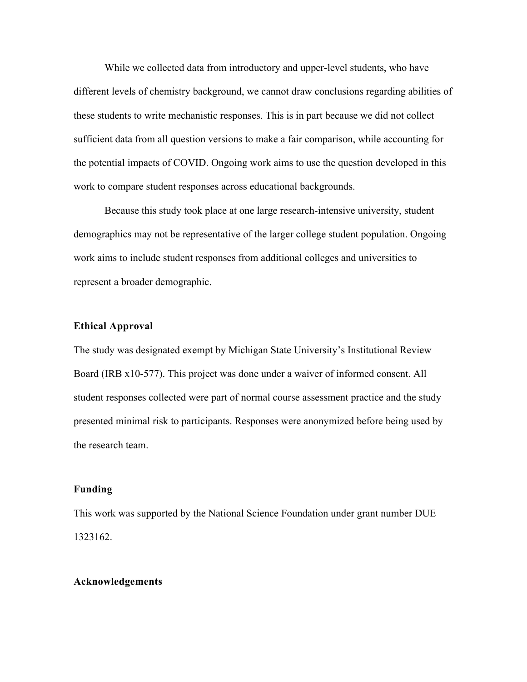While we collected data from introductory and upper-level students, who have different levels of chemistry background, we cannot draw conclusions regarding abilities of these students to write mechanistic responses. This is in part because we did not collect sufficient data from all question versions to make a fair comparison, while accounting for the potential impacts of COVID. Ongoing work aims to use the question developed in this work to compare student responses across educational backgrounds.

Because this study took place at one large research-intensive university, student demographics may not be representative of the larger college student population. Ongoing work aims to include student responses from additional colleges and universities to represent a broader demographic.

### **Ethical Approval**

The study was designated exempt by Michigan State University's Institutional Review Board (IRB x10-577). This project was done under a waiver of informed consent. All student responses collected were part of normal course assessment practice and the study presented minimal risk to participants. Responses were anonymized before being used by the research team.

# **Funding**

This work was supported by the National Science Foundation under grant number DUE 1323162.

#### **Acknowledgements**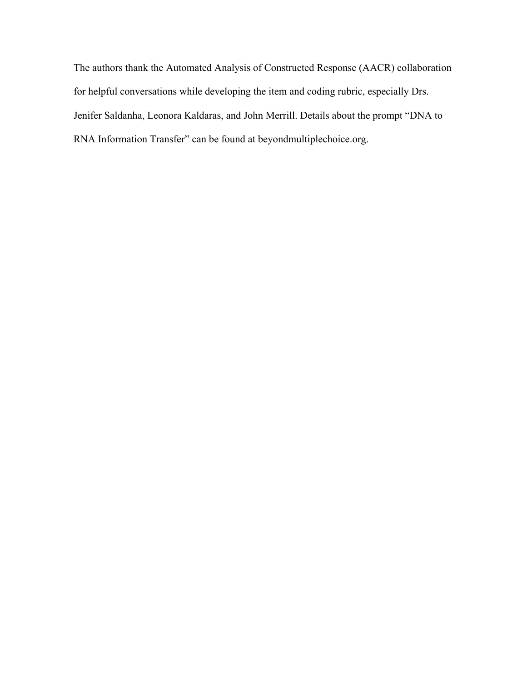The authors thank the Automated Analysis of Constructed Response (AACR) collaboration for helpful conversations while developing the item and coding rubric, especially Drs. Jenifer Saldanha, Leonora Kaldaras, and John Merrill. Details about the prompt "DNA to RNA Information Transfer" can be found at beyondmultiplechoice.org.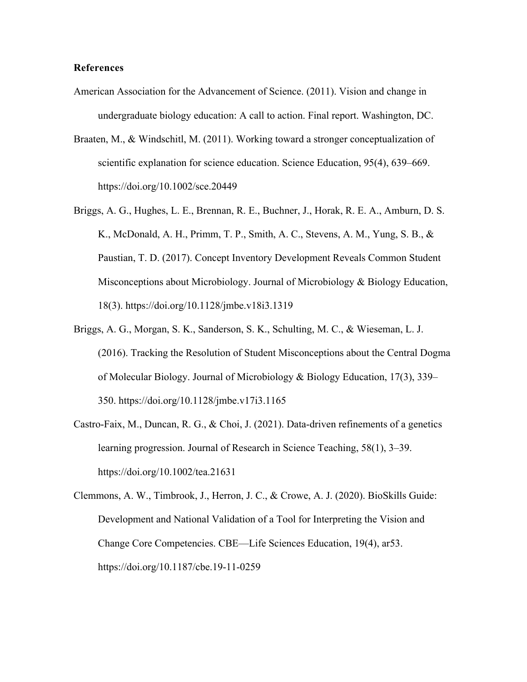#### **References**

- American Association for the Advancement of Science. (2011). Vision and change in undergraduate biology education: A call to action. Final report. Washington, DC.
- Braaten, M., & Windschitl, M. (2011). Working toward a stronger conceptualization of scientific explanation for science education. Science Education, 95(4), 639–669. https://doi.org/10.1002/sce.20449
- Briggs, A. G., Hughes, L. E., Brennan, R. E., Buchner, J., Horak, R. E. A., Amburn, D. S. K., McDonald, A. H., Primm, T. P., Smith, A. C., Stevens, A. M., Yung, S. B., & Paustian, T. D. (2017). Concept Inventory Development Reveals Common Student Misconceptions about Microbiology. Journal of Microbiology & Biology Education, 18(3). https://doi.org/10.1128/jmbe.v18i3.1319
- Briggs, A. G., Morgan, S. K., Sanderson, S. K., Schulting, M. C., & Wieseman, L. J. (2016). Tracking the Resolution of Student Misconceptions about the Central Dogma of Molecular Biology. Journal of Microbiology & Biology Education, 17(3), 339– 350. https://doi.org/10.1128/jmbe.v17i3.1165
- Castro‐Faix, M., Duncan, R. G., & Choi, J. (2021). Data-driven refinements of a genetics learning progression. Journal of Research in Science Teaching, 58(1), 3–39. https://doi.org/10.1002/tea.21631
- Clemmons, A. W., Timbrook, J., Herron, J. C., & Crowe, A. J. (2020). BioSkills Guide: Development and National Validation of a Tool for Interpreting the Vision and Change Core Competencies. CBE—Life Sciences Education, 19(4), ar53. https://doi.org/10.1187/cbe.19-11-0259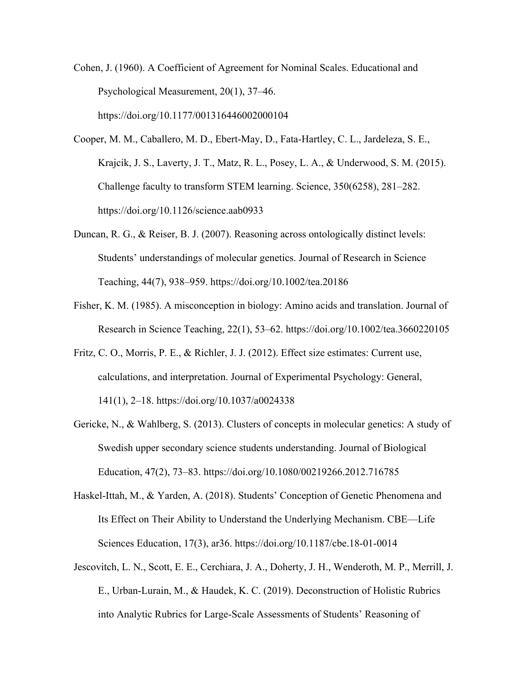Cohen, J. (1960). A Coefficient of Agreement for Nominal Scales. Educational and Psychological Measurement, 20(1), 37–46. https://doi.org/10.1177/001316446002000104

- Cooper, M. M., Caballero, M. D., Ebert-May, D., Fata-Hartley, C. L., Jardeleza, S. E., Krajcik, J. S., Laverty, J. T., Matz, R. L., Posey, L. A., & Underwood, S. M. (2015). Challenge faculty to transform STEM learning. Science, 350(6258), 281–282. https://doi.org/10.1126/science.aab0933
- Duncan, R. G., & Reiser, B. J. (2007). Reasoning across ontologically distinct levels: Students' understandings of molecular genetics. Journal of Research in Science Teaching, 44(7), 938–959. https://doi.org/10.1002/tea.20186
- Fisher, K. M. (1985). A misconception in biology: Amino acids and translation. Journal of Research in Science Teaching, 22(1), 53–62. https://doi.org/10.1002/tea.3660220105
- Fritz, C. O., Morris, P. E., & Richler, J. J. (2012). Effect size estimates: Current use, calculations, and interpretation. Journal of Experimental Psychology: General, 141(1), 2–18. https://doi.org/10.1037/a0024338
- Gericke, N., & Wahlberg, S. (2013). Clusters of concepts in molecular genetics: A study of Swedish upper secondary science students understanding. Journal of Biological Education, 47(2), 73–83. https://doi.org/10.1080/00219266.2012.716785
- Haskel-Ittah, M., & Yarden, A. (2018). Students' Conception of Genetic Phenomena and Its Effect on Their Ability to Understand the Underlying Mechanism. CBE—Life Sciences Education, 17(3), ar36. https://doi.org/10.1187/cbe.18-01-0014
- Jescovitch, L. N., Scott, E. E., Cerchiara, J. A., Doherty, J. H., Wenderoth, M. P., Merrill, J. E., Urban-Lurain, M., & Haudek, K. C. (2019). Deconstruction of Holistic Rubrics into Analytic Rubrics for Large-Scale Assessments of Students' Reasoning of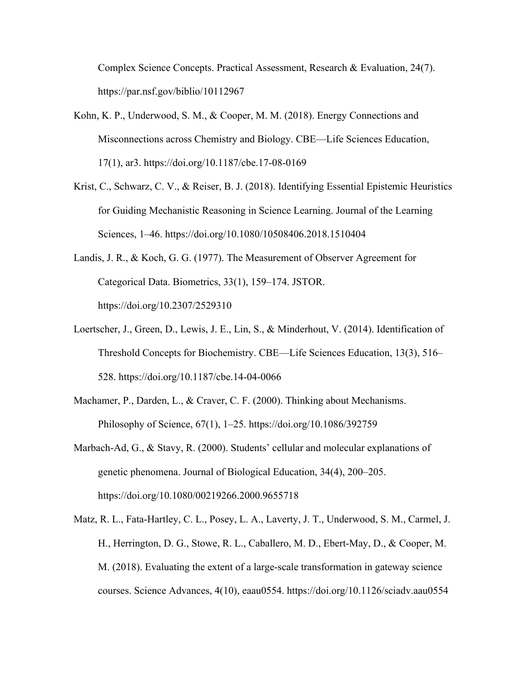Complex Science Concepts. Practical Assessment, Research & Evaluation, 24(7). https://par.nsf.gov/biblio/10112967

- Kohn, K. P., Underwood, S. M., & Cooper, M. M. (2018). Energy Connections and Misconnections across Chemistry and Biology. CBE—Life Sciences Education, 17(1), ar3. https://doi.org/10.1187/cbe.17-08-0169
- Krist, C., Schwarz, C. V., & Reiser, B. J. (2018). Identifying Essential Epistemic Heuristics for Guiding Mechanistic Reasoning in Science Learning. Journal of the Learning Sciences, 1–46. https://doi.org/10.1080/10508406.2018.1510404
- Landis, J. R., & Koch, G. G. (1977). The Measurement of Observer Agreement for Categorical Data. Biometrics, 33(1), 159–174. JSTOR. https://doi.org/10.2307/2529310
- Loertscher, J., Green, D., Lewis, J. E., Lin, S., & Minderhout, V. (2014). Identification of Threshold Concepts for Biochemistry. CBE—Life Sciences Education, 13(3), 516– 528. https://doi.org/10.1187/cbe.14-04-0066
- Machamer, P., Darden, L., & Craver, C. F. (2000). Thinking about Mechanisms. Philosophy of Science, 67(1), 1–25. https://doi.org/10.1086/392759
- Marbach-Ad, G., & Stavy, R. (2000). Students' cellular and molecular explanations of genetic phenomena. Journal of Biological Education, 34(4), 200–205. https://doi.org/10.1080/00219266.2000.9655718
- Matz, R. L., Fata-Hartley, C. L., Posey, L. A., Laverty, J. T., Underwood, S. M., Carmel, J. H., Herrington, D. G., Stowe, R. L., Caballero, M. D., Ebert-May, D., & Cooper, M. M. (2018). Evaluating the extent of a large-scale transformation in gateway science courses. Science Advances, 4(10), eaau0554. https://doi.org/10.1126/sciadv.aau0554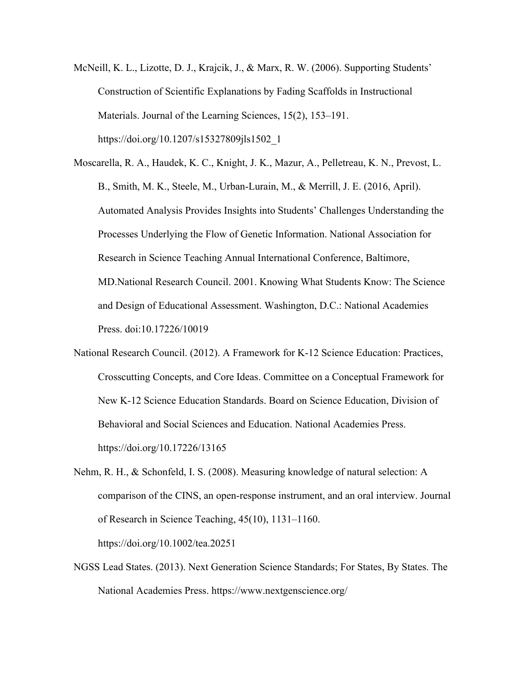McNeill, K. L., Lizotte, D. J., Krajcik, J., & Marx, R. W. (2006). Supporting Students' Construction of Scientific Explanations by Fading Scaffolds in Instructional Materials. Journal of the Learning Sciences, 15(2), 153–191. https://doi.org/10.1207/s15327809jls1502\_1

Moscarella, R. A., Haudek, K. C., Knight, J. K., Mazur, A., Pelletreau, K. N., Prevost, L. B., Smith, M. K., Steele, M., Urban-Lurain, M., & Merrill, J. E. (2016, April). Automated Analysis Provides Insights into Students' Challenges Understanding the Processes Underlying the Flow of Genetic Information. National Association for Research in Science Teaching Annual International Conference, Baltimore, MD.National Research Council. 2001. Knowing What Students Know: The Science and Design of Educational Assessment. Washington, D.C.: National Academies Press. doi:10.17226/10019

- National Research Council. (2012). A Framework for K-12 Science Education: Practices, Crosscutting Concepts, and Core Ideas. Committee on a Conceptual Framework for New K-12 Science Education Standards. Board on Science Education, Division of Behavioral and Social Sciences and Education. National Academies Press. https://doi.org/10.17226/13165
- Nehm, R. H., & Schonfeld, I. S. (2008). Measuring knowledge of natural selection: A comparison of the CINS, an open-response instrument, and an oral interview. Journal of Research in Science Teaching, 45(10), 1131–1160. https://doi.org/10.1002/tea.20251
- NGSS Lead States. (2013). Next Generation Science Standards; For States, By States. The National Academies Press. https://www.nextgenscience.org/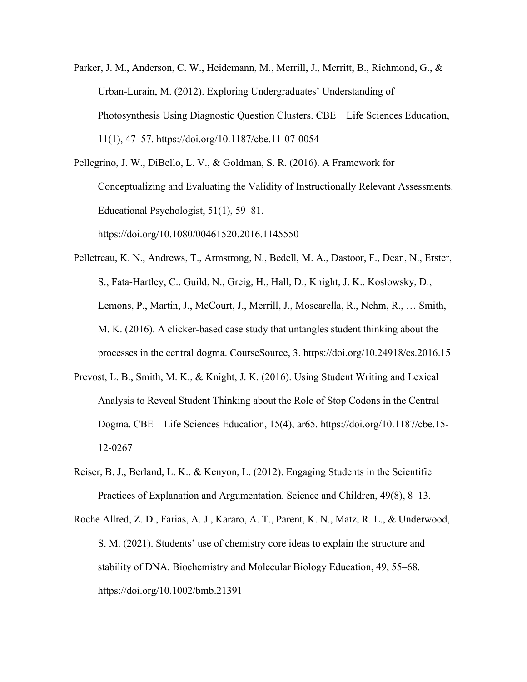Parker, J. M., Anderson, C. W., Heidemann, M., Merrill, J., Merritt, B., Richmond, G., & Urban-Lurain, M. (2012). Exploring Undergraduates' Understanding of Photosynthesis Using Diagnostic Question Clusters. CBE—Life Sciences Education, 11(1), 47–57. https://doi.org/10.1187/cbe.11-07-0054

Pellegrino, J. W., DiBello, L. V., & Goldman, S. R. (2016). A Framework for Conceptualizing and Evaluating the Validity of Instructionally Relevant Assessments. Educational Psychologist, 51(1), 59–81. https://doi.org/10.1080/00461520.2016.1145550

- Pelletreau, K. N., Andrews, T., Armstrong, N., Bedell, M. A., Dastoor, F., Dean, N., Erster, S., Fata-Hartley, C., Guild, N., Greig, H., Hall, D., Knight, J. K., Koslowsky, D., Lemons, P., Martin, J., McCourt, J., Merrill, J., Moscarella, R., Nehm, R., … Smith, M. K. (2016). A clicker-based case study that untangles student thinking about the processes in the central dogma. CourseSource, 3. https://doi.org/10.24918/cs.2016.15
- Prevost, L. B., Smith, M. K., & Knight, J. K. (2016). Using Student Writing and Lexical Analysis to Reveal Student Thinking about the Role of Stop Codons in the Central Dogma. CBE—Life Sciences Education, 15(4), ar65. https://doi.org/10.1187/cbe.15- 12-0267
- Reiser, B. J., Berland, L. K., & Kenyon, L. (2012). Engaging Students in the Scientific Practices of Explanation and Argumentation. Science and Children, 49(8), 8–13.
- Roche Allred, Z. D., Farias, A. J., Kararo, A. T., Parent, K. N., Matz, R. L., & Underwood, S. M. (2021). Students' use of chemistry core ideas to explain the structure and stability of DNA. Biochemistry and Molecular Biology Education, 49, 55–68. https://doi.org/10.1002/bmb.21391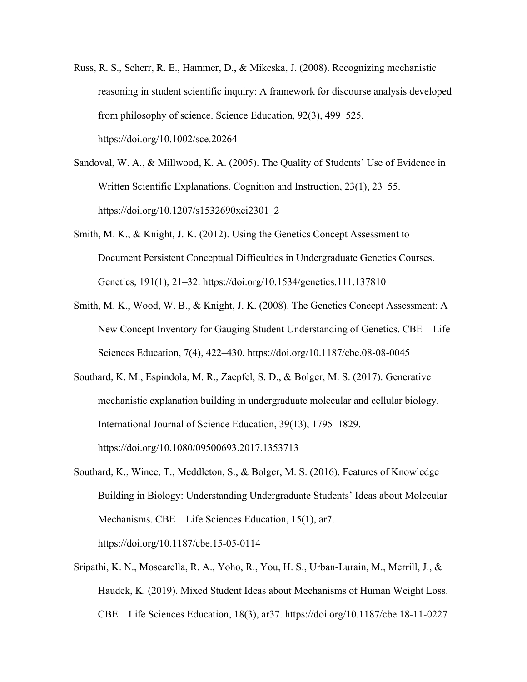- Russ, R. S., Scherr, R. E., Hammer, D., & Mikeska, J. (2008). Recognizing mechanistic reasoning in student scientific inquiry: A framework for discourse analysis developed from philosophy of science. Science Education, 92(3), 499–525. https://doi.org/10.1002/sce.20264
- Sandoval, W. A., & Millwood, K. A. (2005). The Quality of Students' Use of Evidence in Written Scientific Explanations. Cognition and Instruction, 23(1), 23–55. https://doi.org/10.1207/s1532690xci2301\_2
- Smith, M. K., & Knight, J. K. (2012). Using the Genetics Concept Assessment to Document Persistent Conceptual Difficulties in Undergraduate Genetics Courses. Genetics, 191(1), 21–32. https://doi.org/10.1534/genetics.111.137810
- Smith, M. K., Wood, W. B., & Knight, J. K. (2008). The Genetics Concept Assessment: A New Concept Inventory for Gauging Student Understanding of Genetics. CBE—Life Sciences Education, 7(4), 422–430. https://doi.org/10.1187/cbe.08-08-0045
- Southard, K. M., Espindola, M. R., Zaepfel, S. D., & Bolger, M. S. (2017). Generative mechanistic explanation building in undergraduate molecular and cellular biology. International Journal of Science Education, 39(13), 1795–1829. https://doi.org/10.1080/09500693.2017.1353713
- Southard, K., Wince, T., Meddleton, S., & Bolger, M. S. (2016). Features of Knowledge Building in Biology: Understanding Undergraduate Students' Ideas about Molecular Mechanisms. CBE—Life Sciences Education, 15(1), ar7. https://doi.org/10.1187/cbe.15-05-0114
- Sripathi, K. N., Moscarella, R. A., Yoho, R., You, H. S., Urban-Lurain, M., Merrill, J., & Haudek, K. (2019). Mixed Student Ideas about Mechanisms of Human Weight Loss. CBE—Life Sciences Education, 18(3), ar37. https://doi.org/10.1187/cbe.18-11-0227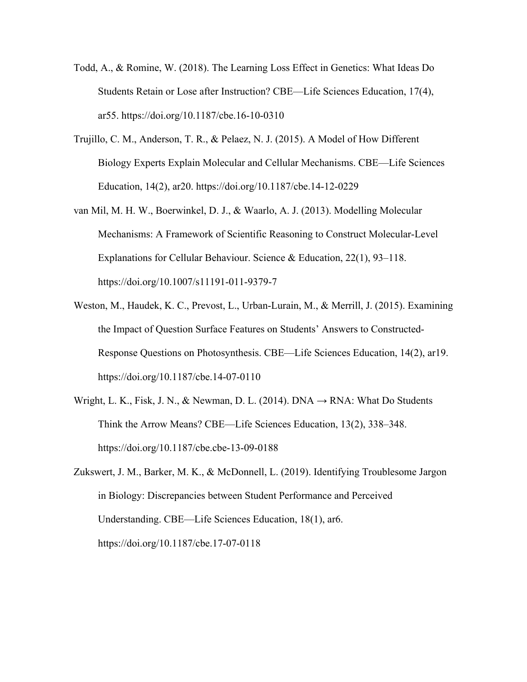- Todd, A., & Romine, W. (2018). The Learning Loss Effect in Genetics: What Ideas Do Students Retain or Lose after Instruction? CBE—Life Sciences Education, 17(4), ar55. https://doi.org/10.1187/cbe.16-10-0310
- Trujillo, C. M., Anderson, T. R., & Pelaez, N. J. (2015). A Model of How Different Biology Experts Explain Molecular and Cellular Mechanisms. CBE—Life Sciences Education, 14(2), ar20. https://doi.org/10.1187/cbe.14-12-0229
- van Mil, M. H. W., Boerwinkel, D. J., & Waarlo, A. J. (2013). Modelling Molecular Mechanisms: A Framework of Scientific Reasoning to Construct Molecular-Level Explanations for Cellular Behaviour. Science & Education, 22(1), 93–118. https://doi.org/10.1007/s11191-011-9379-7
- Weston, M., Haudek, K. C., Prevost, L., Urban-Lurain, M., & Merrill, J. (2015). Examining the Impact of Question Surface Features on Students' Answers to Constructed-Response Questions on Photosynthesis. CBE—Life Sciences Education, 14(2), ar19. https://doi.org/10.1187/cbe.14-07-0110
- Wright, L. K., Fisk, J. N., & Newman, D. L. (2014). DNA  $\rightarrow$  RNA: What Do Students Think the Arrow Means? CBE—Life Sciences Education, 13(2), 338–348. https://doi.org/10.1187/cbe.cbe-13-09-0188
- Zukswert, J. M., Barker, M. K., & McDonnell, L. (2019). Identifying Troublesome Jargon in Biology: Discrepancies between Student Performance and Perceived Understanding. CBE—Life Sciences Education, 18(1), ar6. https://doi.org/10.1187/cbe.17-07-0118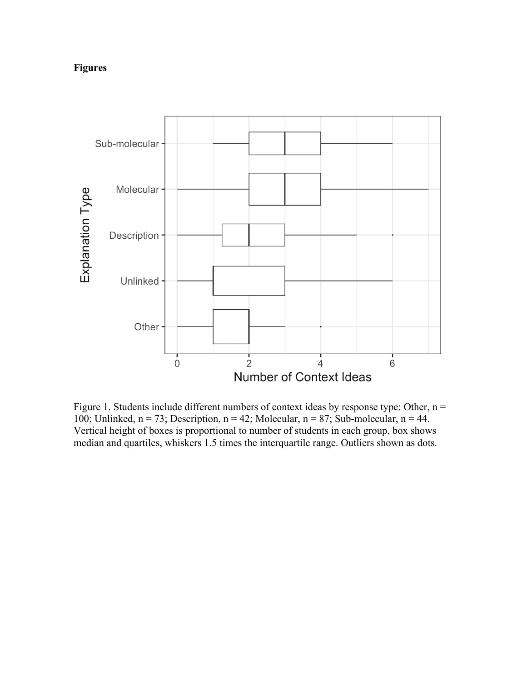# **Figures**



Figure 1. Students include different numbers of context ideas by response type: Other,  $n =$ 100; Unlinked,  $n = 73$ ; Description,  $n = 42$ ; Molecular,  $n = 87$ ; Sub-molecular,  $n = 44$ . Vertical height of boxes is proportional to number of students in each group, box shows median and quartiles, whiskers 1.5 times the interquartile range. Outliers shown as dots.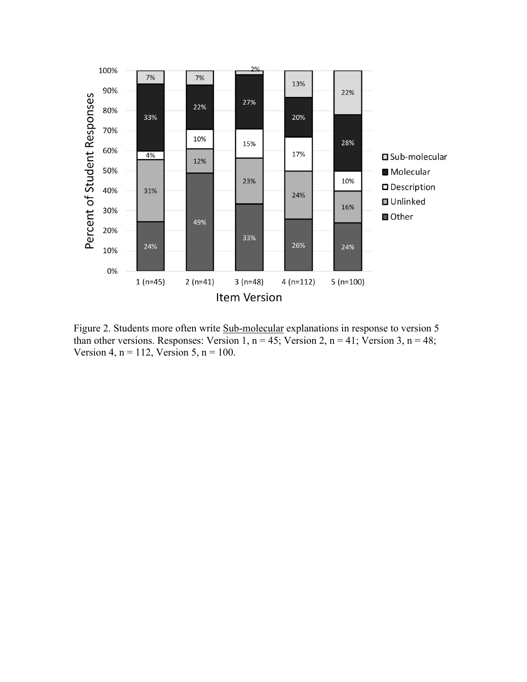

Figure 2. Students more often write Sub-molecular explanations in response to version 5 than other versions. Responses: Version 1,  $n = 45$ ; Version 2,  $n = 41$ ; Version 3,  $n = 48$ ; Version 4,  $n = 112$ , Version 5,  $n = 100$ .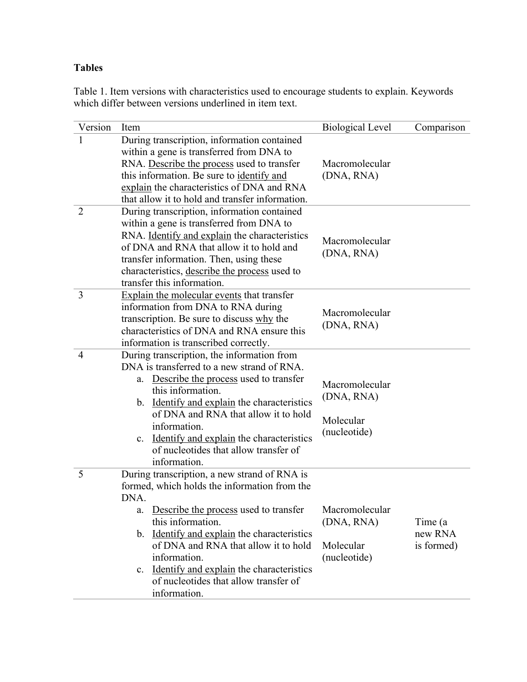# **Tables**

Table 1. Item versions with characteristics used to encourage students to explain. Keywords which differ between versions underlined in item text.

| Version        | Item                                                                                                                                                                                                                                                                                                                                                                                                   | <b>Biological Level</b>                                   | Comparison                       |
|----------------|--------------------------------------------------------------------------------------------------------------------------------------------------------------------------------------------------------------------------------------------------------------------------------------------------------------------------------------------------------------------------------------------------------|-----------------------------------------------------------|----------------------------------|
| 1              | During transcription, information contained<br>within a gene is transferred from DNA to<br>RNA. Describe the process used to transfer<br>this information. Be sure to identify and<br>explain the characteristics of DNA and RNA<br>that allow it to hold and transfer information.                                                                                                                    | Macromolecular<br>(DNA, RNA)                              |                                  |
| $\overline{2}$ | During transcription, information contained<br>within a gene is transferred from DNA to<br>RNA. Identify and explain the characteristics<br>of DNA and RNA that allow it to hold and<br>transfer information. Then, using these<br>characteristics, describe the process used to<br>transfer this information.                                                                                         | Macromolecular<br>(DNA, RNA)                              |                                  |
| $\overline{3}$ | <b>Explain the molecular events that transfer</b><br>information from DNA to RNA during<br>transcription. Be sure to discuss why the<br>characteristics of DNA and RNA ensure this<br>information is transcribed correctly.                                                                                                                                                                            | Macromolecular<br>(DNA, RNA)                              |                                  |
| $\overline{4}$ | During transcription, the information from<br>DNA is transferred to a new strand of RNA.<br>Describe the process used to transfer<br>a.<br>this information.<br>Identify and explain the characteristics<br>b.<br>of DNA and RNA that allow it to hold<br>information.<br>c. Identify and explain the characteristics<br>of nucleotides that allow transfer of<br>information.                         | Macromolecular<br>(DNA, RNA)<br>Molecular<br>(nucleotide) |                                  |
| 5              | During transcription, a new strand of RNA is<br>formed, which holds the information from the<br>DNA.<br>Describe the process used to transfer<br>a.<br>this information.<br>Identify and explain the characteristics<br>$\mathbf{b}$ .<br>of DNA and RNA that allow it to hold<br>information.<br>c. Identify and explain the characteristics<br>of nucleotides that allow transfer of<br>information. | Macromolecular<br>(DNA, RNA)<br>Molecular<br>(nucleotide) | Time (a<br>new RNA<br>is formed) |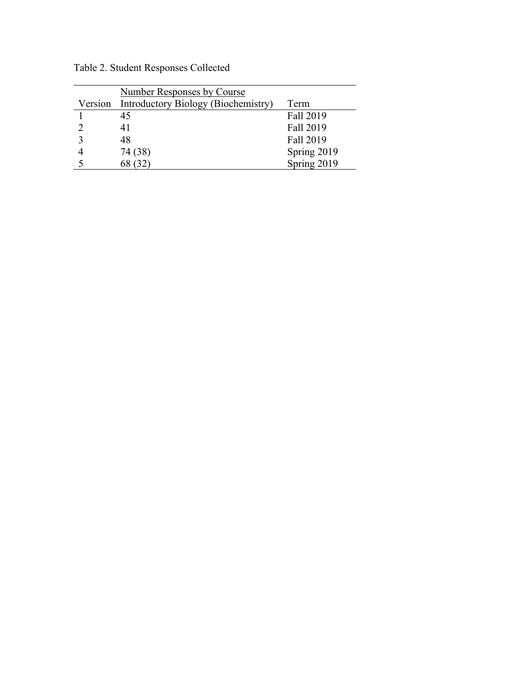Table 2. Student Responses Collected

|         | <b>Number Responses by Course</b>   |             |
|---------|-------------------------------------|-------------|
| Version | Introductory Biology (Biochemistry) | Term        |
|         | 45                                  | Fall 2019   |
|         | 41                                  | Fall 2019   |
|         | 48                                  | Fall 2019   |
|         | 74 (38)                             | Spring 2019 |
|         | 68 (32)                             | Spring 2019 |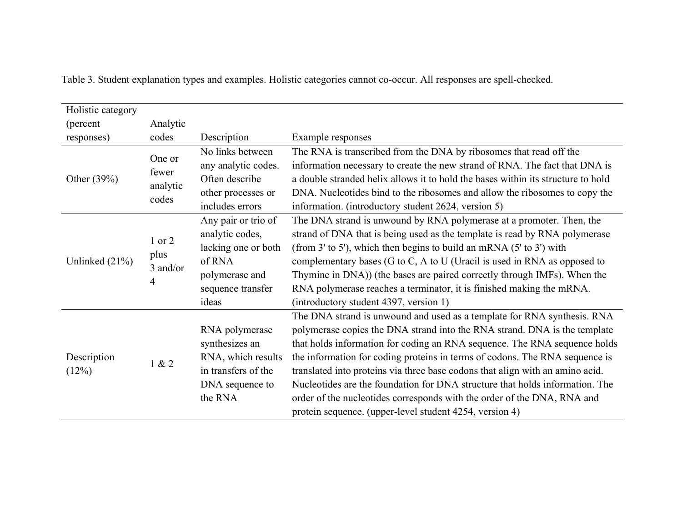| Holistic category    |                                      |                                                                                                                         |                                                                                                                                                                                                                                                                                                                                                                                                                                                                                                                                                                                                                         |
|----------------------|--------------------------------------|-------------------------------------------------------------------------------------------------------------------------|-------------------------------------------------------------------------------------------------------------------------------------------------------------------------------------------------------------------------------------------------------------------------------------------------------------------------------------------------------------------------------------------------------------------------------------------------------------------------------------------------------------------------------------------------------------------------------------------------------------------------|
| (percent)            | Analytic                             |                                                                                                                         |                                                                                                                                                                                                                                                                                                                                                                                                                                                                                                                                                                                                                         |
| responses)           | codes                                | Description                                                                                                             | Example responses                                                                                                                                                                                                                                                                                                                                                                                                                                                                                                                                                                                                       |
| Other (39%)          | One or<br>fewer<br>analytic<br>codes | No links between<br>any analytic codes.<br>Often describe<br>other processes or<br>includes errors                      | The RNA is transcribed from the DNA by ribosomes that read off the<br>information necessary to create the new strand of RNA. The fact that DNA is<br>a double stranded helix allows it to hold the bases within its structure to hold<br>DNA. Nucleotides bind to the ribosomes and allow the ribosomes to copy the<br>information. (introductory student 2624, version 5)                                                                                                                                                                                                                                              |
| Unlinked $(21\%)$    | $1$ or $2$<br>plus<br>3 and/or<br>4  | Any pair or trio of<br>analytic codes,<br>lacking one or both<br>of RNA<br>polymerase and<br>sequence transfer<br>ideas | The DNA strand is unwound by RNA polymerase at a promoter. Then, the<br>strand of DNA that is being used as the template is read by RNA polymerase<br>(from 3' to 5'), which then begins to build an mRNA $(5'$ to 3') with<br>complementary bases (G to C, A to U (Uracil is used in RNA as opposed to<br>Thymine in DNA)) (the bases are paired correctly through IMFs). When the<br>RNA polymerase reaches a terminator, it is finished making the mRNA.<br>(introductory student 4397, version 1)                                                                                                                   |
| Description<br>(12%) | 1 & 2                                | RNA polymerase<br>synthesizes an<br>RNA, which results<br>in transfers of the<br>DNA sequence to<br>the RNA             | The DNA strand is unwound and used as a template for RNA synthesis. RNA<br>polymerase copies the DNA strand into the RNA strand. DNA is the template<br>that holds information for coding an RNA sequence. The RNA sequence holds<br>the information for coding proteins in terms of codons. The RNA sequence is<br>translated into proteins via three base codons that align with an amino acid.<br>Nucleotides are the foundation for DNA structure that holds information. The<br>order of the nucleotides corresponds with the order of the DNA, RNA and<br>protein sequence. (upper-level student 4254, version 4) |

Table 3. Student explanation types and examples. Holistic categories cannot co-occur. All responses are spell-checked.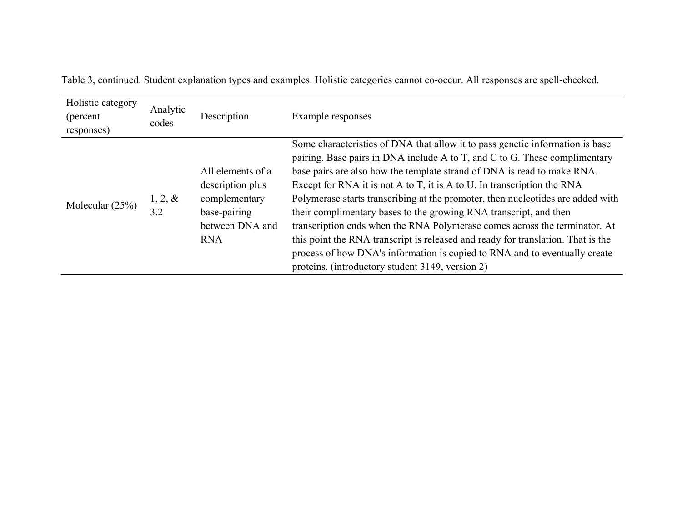| Holistic category<br>(percent)<br>responses) | Analytic<br>codes | Description                                                                                             | Example responses                                                                                                                                                                                                                                                                                                                                                                                                                                                                                                                                                                                                                                                                                                                                                             |
|----------------------------------------------|-------------------|---------------------------------------------------------------------------------------------------------|-------------------------------------------------------------------------------------------------------------------------------------------------------------------------------------------------------------------------------------------------------------------------------------------------------------------------------------------------------------------------------------------------------------------------------------------------------------------------------------------------------------------------------------------------------------------------------------------------------------------------------------------------------------------------------------------------------------------------------------------------------------------------------|
| Molecular $(25%)$                            | $1, 2, \&$<br>3.2 | All elements of a<br>description plus<br>complementary<br>base-pairing<br>between DNA and<br><b>RNA</b> | Some characteristics of DNA that allow it to pass genetic information is base<br>pairing. Base pairs in DNA include A to T, and C to G. These complimentary<br>base pairs are also how the template strand of DNA is read to make RNA.<br>Except for RNA it is not A to T, it is A to U. In transcription the RNA<br>Polymerase starts transcribing at the promoter, then nucleotides are added with<br>their complimentary bases to the growing RNA transcript, and then<br>transcription ends when the RNA Polymerase comes across the terminator. At<br>this point the RNA transcript is released and ready for translation. That is the<br>process of how DNA's information is copied to RNA and to eventually create<br>proteins. (introductory student 3149, version 2) |

Table 3, continued. Student explanation types and examples. Holistic categories cannot co-occur. All responses are spell-checked.